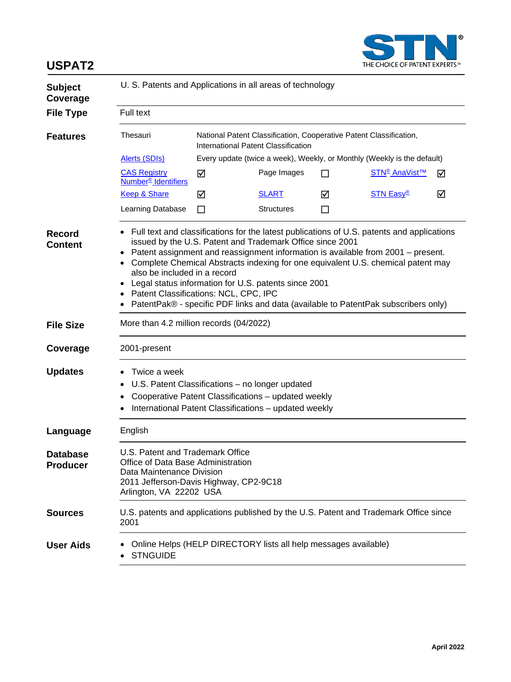

## **USPAT2 Subject Coverage** U. S. Patents and Applications in all areas of technology **File Type** Full text **Features** Thesauri National Patent Classification, Cooperative Patent Classification, International Patent Classification [Alerts \(SDIs\)](http://www.cas.org/File%20Library/training/stn/User%20Docs/currentawarenessuserguide.pdf) Every update (twice a week), Weekly, or Monthly (Weekly is the default) [CAS Registry](http://www.cas.org/content/chemical-substances)  [Number®](http://www.cas.org/content/chemical-substances) Identifiers  $\blacksquare$  Page Images  $\blacksquare$  STN<sup>®</sup> AnaVist<sup>™</sup>  $\blacksquare$ [Keep & Share](http://www.cas.org/legal/keepshare) M [SLART](http://www.cas.org/File%20Library/training/stn/dbss/slart.pdf) M [STN Easy®](http://stneasy.cas.org/) M Learning Database  $\Box$  Structures  $\Box$ **Record Content** • Full text and classifications for the latest publications of U.S. patents and applications issued by the U.S. Patent and Trademark Office since 2001 • Patent assignment and reassignment information is available from 2001 – present. • Complete Chemical Abstracts indexing for one equivalent U.S. chemical patent may also be included in a record • Legal status information for U.S. patents since 2001 • Patent Classifications: NCL, CPC, IPC • PatentPak® - specific PDF links and data (available to PatentPak subscribers only) **File Size** More than 4.2 million records (04/2022) **Coverage** 2001-present **Updates** • Twice a week • U.S. Patent Classifications – no longer updated • Cooperative Patent Classifications – updated weekly • International Patent Classifications – updated weekly **Language** English **Database Producer** U.S. Patent and Trademark Office Office of Data Base Administration Data Maintenance Division 2011 Jefferson-Davis Highway, CP2-9C18 Arlington, VA 22202 USA **Sources** U.S. patents and applications published by the U.S. Patent and Trademark Office since 2001 **User Aids** • Online Helps (HELP DIRECTORY lists all help messages available) • STNGUIDE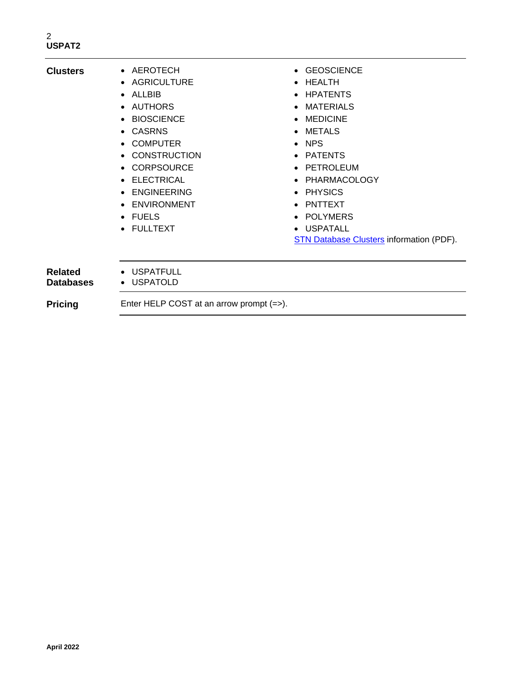## **Clusters** • AEROTECH • GEOSCIENCE • AGRICULTURE • HEALTH • ALLBIB • HPATENTS • AUTHORS • MATERIALS • BIOSCIENCE • MEDICINE • CASRNS • METALS • COMPUTER • NPS • CONSTRUCTION • PATENTS • CORPSOURCE • PETROLEUM • ELECTRICAL • PHARMACOLOGY • ENGINEERING • PHYSICS • ENVIRONMENT • PNTTEXT • FUELS • POLYMERS • FULLTEXT • USPATALL [STN Database Clusters](http://www.cas.org/File%20Library/training/stn/dbss/databaseclusters.pdf) information (PDF). **Related Databases** • USPATFULL • USPATOLD **Pricing** Enter HELP COST at an arrow prompt (=>).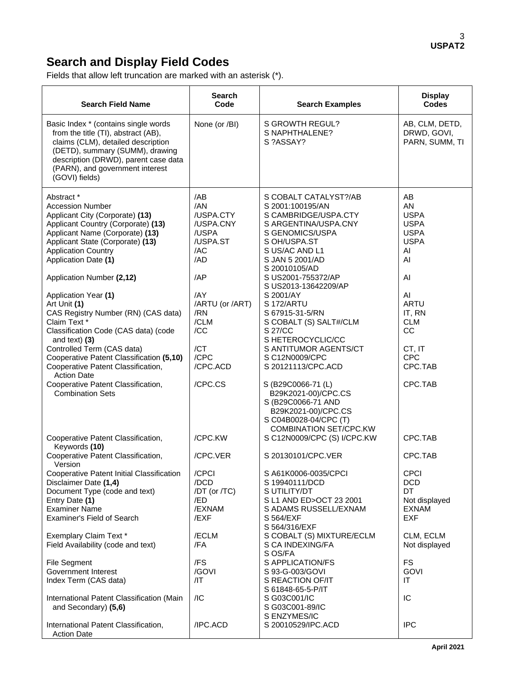# **Search and Display Field Codes**

Fields that allow left truncation are marked with an asterisk (\*).

| <b>Search Field Name</b>                                                                                                                                                                                                                          | <b>Search</b><br>Code                                                   | <b>Search Examples</b>                                                                                                                                                             | <b>Display</b><br>Codes                                                          |
|---------------------------------------------------------------------------------------------------------------------------------------------------------------------------------------------------------------------------------------------------|-------------------------------------------------------------------------|------------------------------------------------------------------------------------------------------------------------------------------------------------------------------------|----------------------------------------------------------------------------------|
| Basic Index * (contains single words<br>from the title (TI), abstract (AB),<br>claims (CLM), detailed description<br>(DETD), summary (SUMM), drawing<br>description (DRWD), parent case data<br>(PARN), and government interest<br>(GOVI) fields) | None (or /BI)                                                           | S GROWTH REGUL?<br>S NAPHTHALENE?<br>S ?ASSAY?                                                                                                                                     | AB, CLM, DETD,<br>DRWD, GOVI,<br>PARN, SUMM, TI                                  |
| Abstract *<br><b>Accession Number</b><br>Applicant City (Corporate) (13)<br>Applicant Country (Corporate) (13)<br>Applicant Name (Corporate) (13)<br>Applicant State (Corporate) (13)<br><b>Application Country</b><br>Application Date (1)       | /AB<br>/AN<br>/USPA.CTY<br>/USPA.CNY<br>/USPA<br>/USPA.ST<br>/AC<br>/AD | S COBALT CATALYST?/AB<br>S 2001:100195/AN<br>S CAMBRIDGE/USPA.CTY<br>S ARGENTINA/USPA.CNY<br>S GENOMICS/USPA<br>S OH/USPA.ST<br>S US/AC AND L1<br>S JAN 5 2001/AD<br>S 20010105/AD | AB<br>AN<br><b>USPA</b><br><b>USPA</b><br><b>USPA</b><br><b>USPA</b><br>AI<br>AI |
| Application Number (2,12)                                                                                                                                                                                                                         | /AP                                                                     | S US2001-755372/AP<br>S US2013-13642209/AP                                                                                                                                         | AI                                                                               |
| Application Year (1)<br>Art Unit (1)<br>CAS Registry Number (RN) (CAS data)<br>Claim Text *<br>Classification Code (CAS data) (code<br>and text) $(3)$<br>Controlled Term (CAS data)                                                              | /AY<br>/ARTU (or /ART)<br>/RN<br>/CLM<br>/CC<br>/CT                     | S 2001/AY<br><b>S172/ARTU</b><br>S 67915-31-5/RN<br>S COBALT (S) SALT#/CLM<br>S 27/CC<br>S HETEROCYCLIC/CC<br>S ANTITUMOR AGENTS/CT                                                | AI<br><b>ARTU</b><br>IT, RN<br><b>CLM</b><br><b>CC</b><br>CT, IT                 |
| Cooperative Patent Classification (5,10)<br>Cooperative Patent Classification,                                                                                                                                                                    | /CPC<br>/CPC.ACD                                                        | S C12N0009/CPC<br>S 20121113/CPC.ACD                                                                                                                                               | <b>CPC</b><br>CPC.TAB                                                            |
| <b>Action Date</b><br>Cooperative Patent Classification,<br><b>Combination Sets</b>                                                                                                                                                               | /CPC.CS                                                                 | S (B29C0066-71 (L)<br>B29K2021-00)/CPC.CS<br>S (B29C0066-71 AND<br>B29K2021-00)/CPC.CS<br>S C04B0028-04/CPC (T)<br><b>COMBINATION SET/CPC.KW</b>                                   | CPC.TAB                                                                          |
| Cooperative Patent Classification,<br>Keywords (10)                                                                                                                                                                                               | /CPC.KW                                                                 | S C12N0009/CPC (S) I/CPC.KW                                                                                                                                                        | CPC.TAB                                                                          |
| Cooperative Patent Classification,<br>Version                                                                                                                                                                                                     | /CPC.VER                                                                | S 20130101/CPC.VER                                                                                                                                                                 | CPC.TAB                                                                          |
| Cooperative Patent Initial Classification<br>Disclaimer Date (1,4)<br>Document Type (code and text)<br>Entry Date (1)<br><b>Examiner Name</b><br>Examiner's Field of Search                                                                       | /CPCI<br>/DCD<br>/DT (or /TC)<br>/ED<br>/EXNAM<br>/EXF                  | S A61K0006-0035/CPCI<br>S 19940111/DCD<br>S UTILITY/DT<br>S L1 AND ED>OCT 23 2001<br>S ADAMS RUSSELL/EXNAM<br>S 564/EXF<br>S 564/316/EXF                                           | <b>CPCI</b><br><b>DCD</b><br>DT<br>Not displayed<br><b>EXNAM</b><br><b>EXF</b>   |
| Exemplary Claim Text *<br>Field Availability (code and text)                                                                                                                                                                                      | /ECLM<br>/FA                                                            | S COBALT (S) MIXTURE/ECLM<br>S CA INDEXING/FA<br>S OS/FA                                                                                                                           | CLM, ECLM<br>Not displayed                                                       |
| <b>File Segment</b><br>Government Interest<br>Index Term (CAS data)                                                                                                                                                                               | /FS<br>/GOVI<br>/IT                                                     | S APPLICATION/FS<br>S 93-G-003/GOVI<br>S REACTION OF/IT                                                                                                                            | <b>FS</b><br><b>GOVI</b><br>IT                                                   |
| International Patent Classification (Main<br>and Secondary) (5,6)                                                                                                                                                                                 | /IC                                                                     | S 61848-65-5-P/IT<br>S G03C001/IC<br>S G03C001-89/IC                                                                                                                               | IC                                                                               |
| International Patent Classification,<br><b>Action Date</b>                                                                                                                                                                                        | /IPC.ACD                                                                | S ENZYMES/IC<br>S 20010529/IPC.ACD                                                                                                                                                 | <b>IPC</b>                                                                       |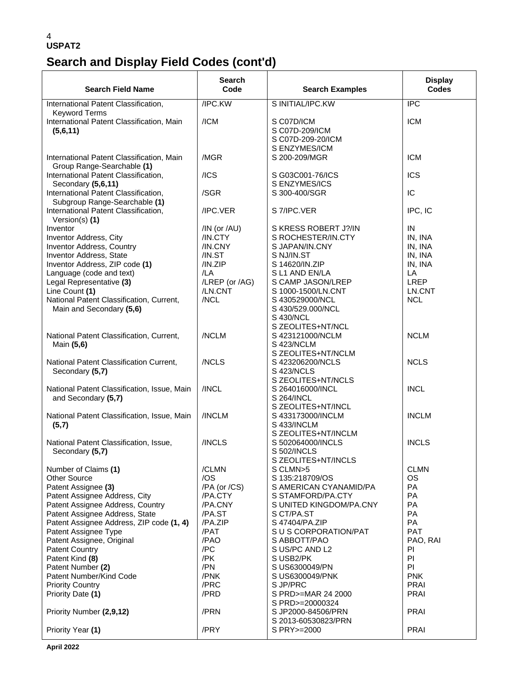# **Search and Display Field Codes (cont'd)**

| <b>Search Field Name</b>                                                   | Search<br>Code    | <b>Search Examples</b>                | <b>Display</b><br><b>Codes</b> |
|----------------------------------------------------------------------------|-------------------|---------------------------------------|--------------------------------|
| International Patent Classification,                                       | /IPC.KW           | S INITIAL/IPC.KW                      | <b>IPC</b>                     |
| <b>Keyword Terms</b>                                                       |                   |                                       |                                |
| International Patent Classification, Main                                  | /ICM              | S C07D/ICM                            | <b>ICM</b>                     |
| (5,6,11)                                                                   |                   | S C07D-209/ICM                        |                                |
|                                                                            |                   | S C07D-209-20/ICM                     |                                |
|                                                                            |                   | S ENZYMES/ICM                         |                                |
| International Patent Classification, Main<br>Group Range-Searchable (1)    | /MGR              | S 200-209/MGR                         | <b>ICM</b>                     |
| International Patent Classification,                                       | /ICS              | S G03C001-76/ICS                      | <b>ICS</b>                     |
| Secondary (5,6,11)                                                         |                   | S ENZYMES/ICS                         |                                |
| International Patent Classification,                                       | /SGR              | S 300-400/SGR                         | IC                             |
| Subgroup Range-Searchable (1)                                              |                   |                                       |                                |
| International Patent Classification,                                       | /IPC.VER          | S 7/IPC.VER                           | IPC, IC                        |
| Version(s) $(1)$                                                           |                   |                                       |                                |
| Inventor                                                                   | /IN (or $AU$ )    | S KRESS ROBERT J?/IN                  | IN                             |
| Inventor Address, City                                                     | /IN.CTY           | S ROCHESTER/IN.CTY                    | IN, INA                        |
| <b>Inventor Address, Country</b><br>Inventor Address, State                | /IN.CNY<br>/IN.ST | S JAPAN/IN.CNY<br>S NJ/IN.ST          | IN, INA<br>IN, INA             |
| Inventor Address, ZIP code (1)                                             | /IN.ZIP           | S 14620/IN.ZIP                        | IN, INA                        |
| Language (code and text)                                                   | /LA               | S L1 AND EN/LA                        | LA                             |
| Legal Representative (3)                                                   | /LREP (or /AG)    | S CAMP JASON/LREP                     | <b>LREP</b>                    |
| Line Count (1)                                                             | /LN.CNT           | S 1000-1500/LN.CNT                    | LN.CNT                         |
| National Patent Classification, Current,                                   | /NCL              | S 430529000/NCL                       | <b>NCL</b>                     |
| Main and Secondary (5,6)                                                   |                   | S 430/529.000/NCL                     |                                |
|                                                                            |                   | S 430/NCL                             |                                |
|                                                                            |                   | S ZEOLITES+NT/NCL                     |                                |
| National Patent Classification, Current,                                   | /NCLM             | S423121000/NCLM                       | <b>NCLM</b>                    |
| Main (5,6)                                                                 |                   | S 423/NCLM<br>S ZEOLITES+NT/NCLM      |                                |
| National Patent Classification Current,                                    | /NCLS             | S 423206200/NCLS                      | <b>NCLS</b>                    |
| Secondary (5,7)                                                            |                   | <b>S 423/NCLS</b>                     |                                |
|                                                                            |                   | S ZEOLITES+NT/NCLS                    |                                |
| National Patent Classification, Issue, Main                                | /INCL             | S 264016000/INCL                      | <b>INCL</b>                    |
| and Secondary (5,7)                                                        |                   | S 264/INCL                            |                                |
|                                                                            |                   | S ZEOLITES+NT/INCL                    |                                |
| National Patent Classification, Issue, Main                                | /INCLM            | S 433173000/INCLM                     | <b>INCLM</b>                   |
| (5,7)                                                                      |                   | S 433/INCLM<br>S ZEOLITES+NT/INCLM    |                                |
| National Patent Classification, Issue,                                     | /INCLS            | S 502064000/INCLS                     | <b>INCLS</b>                   |
| Secondary (5,7)                                                            |                   | S 502/INCLS                           |                                |
|                                                                            |                   | S ZEOLITES+NT/INCLS                   |                                |
| Number of Claims (1)                                                       | /CLMN             | S CLMN>5                              | <b>CLMN</b>                    |
| <b>Other Source</b>                                                        | /OS               | S 135:218709/OS                       | <b>OS</b>                      |
| Patent Assignee (3)                                                        | /PA (or /CS)      | S AMERICAN CYANAMID/PA                | <b>PA</b>                      |
| Patent Assignee Address, City                                              | /PA.CTY           | S STAMFORD/PA.CTY                     | PA                             |
| Patent Assignee Address, Country                                           | /PA.CNY           | S UNITED KINGDOM/PA.CNY               | PA                             |
| Patent Assignee Address, State<br>Patent Assignee Address, ZIP code (1, 4) | /PA.ST<br>/PA.ZIP | S CT/PA.ST<br>S 47404/PA.ZIP          | PA<br>PA                       |
| Patent Assignee Type                                                       | /PAT              | S U S CORPORATION/PAT                 | <b>PAT</b>                     |
| Patent Assignee, Original                                                  | /PAO              | S ABBOTT/PAO                          | PAO, RAI                       |
| <b>Patent Country</b>                                                      | /PC               | S US/PC AND L2                        | P <sub>1</sub>                 |
| Patent Kind (8)                                                            | /PK               | S USB2/PK                             | P                              |
| Patent Number (2)                                                          | /PN               | S US6300049/PN                        | PI                             |
| Patent Number/Kind Code                                                    | /PNK              | S US6300049/PNK                       | <b>PNK</b>                     |
| <b>Priority Country</b>                                                    | /PRC              | S JP/PRC                              | <b>PRAI</b>                    |
| Priority Date (1)                                                          | /PRD              | S PRD>=MAR 24 2000                    | <b>PRAI</b>                    |
| Priority Number (2,9,12)                                                   | /PRN              | S PRD>=20000324<br>S JP2000-84506/PRN | <b>PRAI</b>                    |
|                                                                            |                   | S 2013-60530823/PRN                   |                                |
| Priority Year (1)                                                          | /PRY              | S PRY>=2000                           | <b>PRAI</b>                    |
|                                                                            |                   |                                       |                                |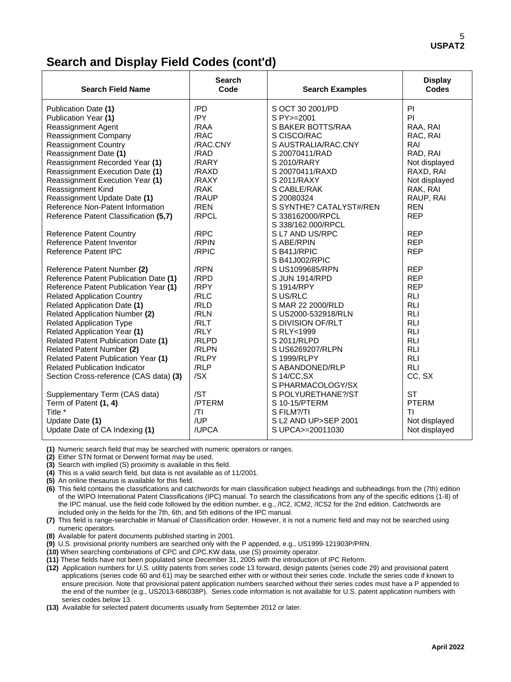## **Search and Display Field Codes (cont'd)**

| <b>Search Field Name</b>                   | <b>Search</b><br>Code | <b>Search Examples</b>            | <b>Display</b><br><b>Codes</b> |
|--------------------------------------------|-----------------------|-----------------------------------|--------------------------------|
| Publication Date (1)                       | /PD                   | S OCT 30 2001/PD                  | <b>PI</b>                      |
| Publication Year (1)                       | /PY                   | S PY>=2001                        | PI                             |
| <b>Reassignment Agent</b>                  | /RAA                  | S BAKER BOTTS/RAA                 | RAA, RAI                       |
| Reassignment Company                       | /RAC                  | S CISCO/RAC                       | RAC, RAI                       |
| <b>Reassignment Country</b>                | /RAC.CNY              | S AUSTRALIA/RAC.CNY               | RAI                            |
| Reassignment Date (1)                      | /RAD                  | S 20070411/RAD                    | RAD, RAI                       |
| Reassignment Recorded Year (1)             | /RARY                 | S 2010/RARY                       | Not displayed                  |
| Reassignment Execution Date (1)            | /RAXD                 | S 20070411/RAXD                   | RAXD, RAI                      |
| Reassignment Execution Year (1)            | /RAXY                 | S 2011/RAXY                       | Not displayed                  |
| Reassignment Kind                          | /RAK                  | S CABLE/RAK                       | RAK, RAI                       |
| Reassignment Update Date (1)               | /RAUP                 | S 20080324                        | RAUP, RAI                      |
| Reference Non-Patent Information           | /REN                  | S SYNTHE? CATALYST#/REN           | <b>REN</b>                     |
| Reference Patent Classification (5,7)      | /RPCL                 | S 338162000/RPCL                  | <b>REP</b>                     |
|                                            |                       | S 338/162.000/RPCL                |                                |
| <b>Reference Patent Country</b>            | /RPC                  | S L7 AND US/RPC                   | <b>REP</b>                     |
| Reference Patent Inventor                  | /RPIN                 | S ABE/RPIN                        | <b>REP</b>                     |
| Reference Patent IPC                       | /RPIC                 | S B41J/RPIC                       | <b>REP</b>                     |
|                                            |                       | S B41J002/RPIC                    |                                |
| Reference Patent Number (2)                | /RPN                  | S US1099685/RPN                   | <b>REP</b>                     |
| Reference Patent Publication Date (1)      | /RPD                  | S JUN 1914/RPD                    | <b>REP</b>                     |
| Reference Patent Publication Year (1)      | /RPY                  | S 1914/RPY                        | <b>REP</b>                     |
| <b>Related Application Country</b>         | /RLC                  | S US/RLC                          | <b>RLI</b>                     |
| <b>Related Application Date (1)</b>        | /RLD                  | S MAR 22 2000/RLD                 | <b>RLI</b>                     |
| Related Application Number (2)             | /RLN                  | S US2000-532918/RLN               | <b>RLI</b>                     |
| <b>Related Application Type</b>            | /RLT                  | S DIVISION OF/RLT                 | <b>RLI</b>                     |
| Related Application Year (1)               | /RLY                  | S RLY<1999                        | <b>RLI</b>                     |
| Related Patent Publication Date (1)        | /RLPD                 | S 2011/RLPD                       | <b>RLI</b>                     |
| Related Patent Number (2)                  | /RLPN                 | S US6269207/RLPN                  | <b>RLI</b>                     |
| <b>Related Patent Publication Year (1)</b> | /RLPY                 | S 1999/RLPY                       | <b>RLI</b>                     |
| <b>Related Publication Indicator</b>       | /RLP                  | S ABANDONED/RLP                   | <b>RLI</b>                     |
| Section Cross-reference (CAS data) (3)     | /SX                   | S 14/CC, SX                       | CC, SX                         |
|                                            |                       | S PHARMACOLOGY/SX                 |                                |
| Supplementary Term (CAS data)              | /ST                   | S POLYURETHANE?/ST                | <b>ST</b>                      |
| Term of Patent (1, 4)<br>Title *           | /PTERM<br> T          | S 10-15/PTERM                     | <b>PTERM</b><br>ΤI             |
|                                            | /UP                   | S FILM?/TI<br>SL2 AND UP>SEP 2001 |                                |
| Update Date (1)                            | /UPCA                 |                                   | Not displayed                  |
| Update Date of CA Indexing (1)             |                       | S UPCA>=20011030                  | Not displayed                  |

**(1)** Numeric search field that may be searched with numeric operators or ranges.

**(2)** Either STN format or Derwent format may be used.

**(3)** Search with implied (S) proximity is available in this field.

**(4)** This is a valid search field, but data is not available as of 11/2001.

**(5)** An online thesaurus is available for this field.

**(6)** This field contains the classifications and catchwords for main classification subject headings and subheadings from the (7th) edition of the WIPO International Patent Classifications (IPC) manual. To search the classifications from any of the specific editions (1-8) of the IPC manual, use the field code followed by the edition number, e.g., /IC2, ICM2, /ICS2 for the 2nd edition. Catchwords are included only in the fields for the 7th, 6th, and 5th editions of the IPC manual.

**(7)** This field is range-searchable in Manual of Classification order. However, it is not a numeric field and may not be searched using numeric operators.

**(8)** Available for patent documents published starting in 2001.

**(9)** U.S. provisional priority numbers are searched only with the P appended, e.g., US1999-121903P/PRN.

**(10)** When searching combinations of CPC and CPC.KW data, use (S) proximity operator.

**(11)** These fields have not been populated since December 31, 2005 with the introduction of IPC Reform.

**(12)** Application numbers for U.S. utility patents from series code 13 forward, design patents (series code 29) and provisional patent applications (series code 60 and 61) may be searched either with or without their series code. Include the series code if known to ensure precision. Note that provisional patent application numbers searched without their series codes must have a P appended to the end of the number (e.g., US2013-686038P). Series code information is not available for U.S. patent application numbers with series codes below 13.

**(13)** Available for selected patent documents usually from September 2012 or later.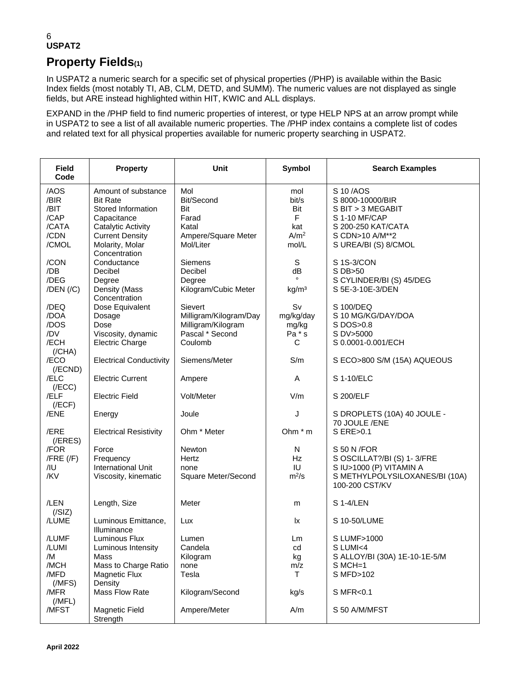## **Property Fields(1)**

In USPAT2 a numeric search for a specific set of physical properties (/PHP) is available within the Basic Index fields (most notably TI, AB, CLM, DETD, and SUMM). The numeric values are not displayed as single fields, but ARE instead highlighted within HIT, KWIC and ALL displays.

EXPAND in the /PHP field to find numeric properties of interest, or type HELP NPS at an arrow prompt while in USPAT2 to see a list of all available numeric properties. The /PHP index contains a complete list of codes and related text for all physical properties available for numeric property searching in USPAT2.

| <b>Field</b><br>Code                                   | <b>Property</b>                                                                                                                                | <b>Unit</b>                                                                           | <b>Symbol</b>                                                | <b>Search Examples</b>                                                                                                              |
|--------------------------------------------------------|------------------------------------------------------------------------------------------------------------------------------------------------|---------------------------------------------------------------------------------------|--------------------------------------------------------------|-------------------------------------------------------------------------------------------------------------------------------------|
| /AOS<br>/BIR<br>/BIT<br>/CAP<br>/CATA<br>/CDN<br>/CMOL | Amount of substance<br><b>Bit Rate</b><br>Stored Information<br>Capacitance<br>Catalytic Activity<br><b>Current Density</b><br>Molarity, Molar | Mol<br>Bit/Second<br>Bit<br>Farad<br>Katal<br>Ampere/Square Meter<br>Mol/Liter        | mol<br>bit/s<br>Bit<br>F<br>kat<br>A/m <sup>2</sup><br>mol/L | S 10/AOS<br>S 8000-10000/BIR<br>S BIT > 3 MEGABIT<br>S 1-10 MF/CAP<br>S 200-250 KAT/CATA<br>S CDN>10 A/M**2<br>S UREA/BI (S) 8/CMOL |
| /CON<br>/DB<br>/DEG<br>$/$ DEN $/(/C)$                 | Concentration<br>Conductance<br>Decibel<br>Degree<br>Density (Mass<br>Concentration                                                            | Siemens<br>Decibel<br>Degree<br>Kilogram/Cubic Meter                                  | S<br>dB<br>kg/m <sup>3</sup>                                 | S 1S-3/CON<br>S DB>50<br>S CYLINDER/BI (S) 45/DEG<br>S 5E-3-10E-3/DEN                                                               |
| /DEQ<br>/DOA<br>/DOS<br>/DV<br>/ECH<br>(/CHA)          | Dose Equivalent<br>Dosage<br>Dose<br>Viscosity, dynamic<br><b>Electric Charge</b>                                                              | Sievert<br>Milligram/Kilogram/Day<br>Milligram/Kilogram<br>Pascal * Second<br>Coulomb | Sv<br>mg/kg/day<br>mg/kg<br>Pa * s<br>C                      | S 100/DEQ<br>S 10 MG/KG/DAY/DOA<br>S DOS>0.8<br>S DV>5000<br>S 0.0001-0.001/ECH                                                     |
| /ECO<br>$($ /ECND $)$                                  | <b>Electrical Conductivity</b>                                                                                                                 | Siemens/Meter                                                                         | S/m                                                          | S ECO>800 S/M (15A) AQUEOUS                                                                                                         |
| /ELC<br>(/ECC)                                         | <b>Electric Current</b>                                                                                                                        | Ampere                                                                                | Α                                                            | S 1-10/ELC                                                                                                                          |
| /ELF<br>(/ECF)                                         | <b>Electric Field</b>                                                                                                                          | Volt/Meter                                                                            | V/m                                                          | S 200/ELF                                                                                                                           |
| /ENE                                                   | Energy                                                                                                                                         | Joule                                                                                 | J                                                            | S DROPLETS (10A) 40 JOULE -<br>70 JOULE /ENE                                                                                        |
| /ERE<br>$($ /ERES $)$                                  | <b>Electrical Resistivity</b>                                                                                                                  | Ohm * Meter                                                                           | Ohm $*$ m                                                    | S ERE>0.1                                                                                                                           |
| /FOR<br>$/$ FRE $($ /F $)$<br>/IU<br>/KV               | Force<br>Frequency<br><b>International Unit</b><br>Viscosity, kinematic                                                                        | Newton<br>Hertz<br>none<br>Square Meter/Second                                        | N<br><b>Hz</b><br>IU<br>$m^2/s$                              | S 50 N / FOR<br>S OSCILLAT?/BI (S) 1-3/FRE<br>S IU>1000 (P) VITAMIN A<br>S METHYLPOLYSILOXANES/BI (10A)<br>100-200 CST/KV           |
| /LEN<br>(/SIZ)                                         | Length, Size                                                                                                                                   | Meter                                                                                 | m                                                            | S 1-4/LEN                                                                                                                           |
| /LUME                                                  | Luminous Emittance,<br>Illuminance                                                                                                             | Lux                                                                                   | lx                                                           | S 10-50/LUME                                                                                                                        |
| /LUMF<br>/LUMI<br>/M<br>/MCH<br>/MFD<br>(MFS)          | Luminous Flux<br>Luminous Intensity<br>Mass<br>Mass to Charge Ratio<br>Magnetic Flux<br>Density                                                | Lumen<br>Candela<br>Kilogram<br>none<br>Tesla                                         | Lm<br>cd<br>kg<br>m/z<br>T.                                  | S LUMF>1000<br>S LUMI<4<br>S ALLOY/BI (30A) 1E-10-1E-5/M<br>S MCH=1<br>S MFD>102                                                    |
| /MFR<br>(MFL)                                          | Mass Flow Rate                                                                                                                                 | Kilogram/Second                                                                       | kg/s                                                         | S MFR<0.1                                                                                                                           |
| /MFST                                                  | <b>Magnetic Field</b><br>Strength                                                                                                              | Ampere/Meter                                                                          | A/m                                                          | S 50 A/M/MFST                                                                                                                       |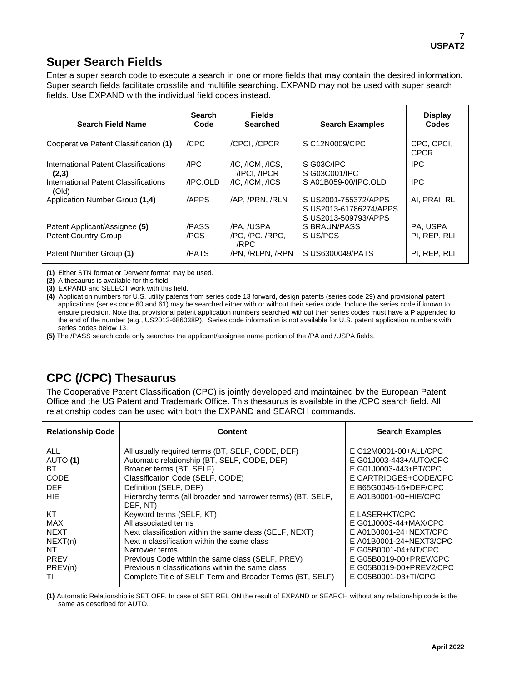## **Super Search Fields**

Enter a super search code to execute a search in one or more fields that may contain the desired information. Super search fields facilitate crossfile and multifile searching. EXPAND may not be used with super search fields. Use EXPAND with the individual field codes instead.

| <b>Search Field Name</b>                      | <b>Search</b><br>Code | <b>Fields</b><br><b>Searched</b>               | <b>Search Examples</b>                                                 | <b>Display</b><br>Codes   |
|-----------------------------------------------|-----------------------|------------------------------------------------|------------------------------------------------------------------------|---------------------------|
| Cooperative Patent Classification (1)         | /CPC                  | /CPCI, /CPCR                                   | S C12N0009/CPC                                                         | CPC, CPCI,<br><b>CPCR</b> |
| International Patent Classifications<br>(2,3) | /IPC                  | $/IC$ , $/ICM$ , $/ICS$ ,<br><b>IPCI. IPCR</b> | S G03C/IPC<br>S G03C001/IPC                                            | <b>IPC</b>                |
| International Patent Classifications<br>(Old) | /IPC.OLD              | /IC. /ICM. /ICS                                | S A01B059-00/IPC.OLD                                                   | <b>IPC</b>                |
| Application Number Group (1,4)                | /APPS                 | /AP. /PRN. /RLN                                | S US2001-755372/APPS<br>S US2013-61786274/APPS<br>S US2013-509793/APPS | AI. PRAI. RLI             |
| Patent Applicant/Assignee (5)                 | /PASS                 | /PA. /USPA                                     | S BRAUN/PASS                                                           | PA. USPA                  |
| <b>Patent Country Group</b>                   | /PCS                  | /PC./PC./RPC.<br>/RPC                          | S US/PCS                                                               | PI, REP, RLI              |
| Patent Number Group (1)                       | /PATS                 | /PN. /RLPN. /RPN                               | S US6300049/PATS                                                       | PI, REP, RLI              |

**(1)** Either STN format or Derwent format may be used.

**(2)** A thesaurus is available for this field.

**(3)** EXPAND and SELECT work with this field.

**(4)** Application numbers for U.S. utility patents from series code 13 forward, design patents (series code 29) and provisional patent applications (series code 60 and 61) may be searched either with or without their series code. Include the series code if known to ensure precision. Note that provisional patent application numbers searched without their series codes must have a P appended to the end of the number (e.g., US2013-686038P). Series code information is not available for U.S. patent application numbers with series codes below 13.

**(5)** The /PASS search code only searches the applicant/assignee name portion of the /PA and /USPA fields.

## **CPC (/CPC) Thesaurus**

The Cooperative Patent Classification (CPC) is jointly developed and maintained by the European Patent Office and the US Patent and Trademark Office. This thesaurus is available in the /CPC search field. All relationship codes can be used with both the EXPAND and SEARCH commands.

| <b>Relationship Code</b>                                                         | <b>Content</b>                                                                                                                                                                                                                                                                                                                                  | <b>Search Examples</b>                                                                                                                                                                            |
|----------------------------------------------------------------------------------|-------------------------------------------------------------------------------------------------------------------------------------------------------------------------------------------------------------------------------------------------------------------------------------------------------------------------------------------------|---------------------------------------------------------------------------------------------------------------------------------------------------------------------------------------------------|
| <b>ALL</b><br>AUTO (1)<br>ВT<br><b>CODE</b><br><b>DEF</b><br>HIE                 | All usually required terms (BT, SELF, CODE, DEF)<br>Automatic relationship (BT, SELF, CODE, DEF)<br>Broader terms (BT, SELF)<br>Classification Code (SELF, CODE)<br>Definition (SELF, DEF)<br>Hierarchy terms (all broader and narrower terms) (BT, SELF,<br>DEF, NT)                                                                           | E C12M0001-00+ALL/CPC<br>E G01J003-443+AUTO/CPC<br>E G01J0003-443+BT/CPC<br>E CARTRIDGES+CODE/CPC<br>E B65G0045-16+DEF/CPC<br>E A01B0001-00+HIE/CPC                                               |
| КT<br><b>MAX</b><br><b>NEXT</b><br>NEXT(n)<br>NT<br><b>PREV</b><br>PREV(n)<br>ΤI | Keyword terms (SELF, KT)<br>All associated terms<br>Next classification within the same class (SELF, NEXT)<br>Next n classification within the same class<br>Narrower terms<br>Previous Code within the same class (SELF, PREV)<br>Previous n classifications within the same class<br>Complete Title of SELF Term and Broader Terms (BT, SELF) | E LASER+KT/CPC<br>E G01J0003-44+MAX/CPC<br>E A01B0001-24+NEXT/CPC<br>E A01B0001-24+NEXT3/CPC<br>E G05B0001-04+NT/CPC<br>E G05B0019-00+PREV/CPC<br>E G05B0019-00+PREV2/CPC<br>E G05B0001-03+TI/CPC |

**(1)** Automatic Relationship is SET OFF. In case of SET REL ON the result of EXPAND or SEARCH without any relationship code is the same as described for AUTO.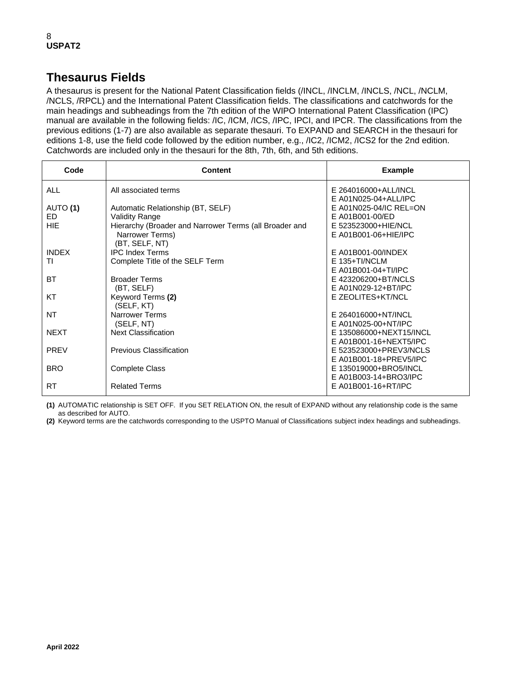## **Thesaurus Fields**

A thesaurus is present for the National Patent Classification fields (/INCL, /INCLM, /INCLS, /NCL, /NCLM, /NCLS, /RPCL) and the International Patent Classification fields. The classifications and catchwords for the main headings and subheadings from the 7th edition of the WIPO International Patent Classification (IPC) manual are available in the following fields: /IC, /ICM, /ICS, /IPC, IPCI, and IPCR. The classifications from the previous editions (1-7) are also available as separate thesauri. To EXPAND and SEARCH in the thesauri for editions 1-8, use the field code followed by the edition number, e.g., /IC2, /ICM2, /ICS2 for the 2nd edition. Catchwords are included only in the thesauri for the 8th, 7th, 6th, and 5th editions.

| Code         | Content                                                | <b>Example</b>                                 |
|--------------|--------------------------------------------------------|------------------------------------------------|
| <b>ALL</b>   | All associated terms                                   | E 264016000+ALL/INCL                           |
| AUTO (1)     | Automatic Relationship (BT, SELF)                      | E A01N025-04+ALL/IPC<br>E A01N025-04/IC REL=ON |
| FD.          | Validity Range                                         | E A01B001-00/ED                                |
| HIF          | Hierarchy (Broader and Narrower Terms (all Broader and | E 523523000+HIE/NCL                            |
|              | Narrower Terms)<br>(BT, SELF, NT)                      | E A01B001-06+HIE/IPC                           |
| <b>INDEX</b> | <b>IPC Index Terms</b>                                 | E A01B001-00/INDEX                             |
| TI           | Complete Title of the SELF Term                        | $F$ 135+TI/NCLM                                |
|              |                                                        | E A01B001-04+TI/IPC                            |
| <b>BT</b>    | <b>Broader Terms</b>                                   | E 423206200+BT/NCLS                            |
|              | (BT, SELF)                                             | E A01N029-12+BT/IPC                            |
| KT           | Keyword Terms (2)<br>(SELF, KT)                        | E ZEOLITES+KT/NCL                              |
| <b>NT</b>    | <b>Narrower Terms</b>                                  | E 264016000+NT/INCL                            |
|              | (SELF, NT)                                             | E A01N025-00+NT/IPC                            |
| <b>NEXT</b>  | <b>Next Classification</b>                             | E 135086000+NEXT15/INCL                        |
|              |                                                        | E A01B001-16+NEXT5/IPC                         |
| <b>PREV</b>  | Previous Classification                                | E 523523000+PREV3/NCLS                         |
|              |                                                        | E A01B001-18+PREV5/IPC                         |
| <b>BRO</b>   | <b>Complete Class</b>                                  | E 135019000+BRO5/INCL                          |
|              |                                                        | E A01B003-14+BRO3/IPC                          |
| <b>RT</b>    | <b>Related Terms</b>                                   | E A01B001-16+RT/IPC                            |

**(1)** AUTOMATIC relationship is SET OFF. If you SET RELATION ON, the result of EXPAND without any relationship code is the same as described for AUTO.

**(2)** Keyword terms are the catchwords corresponding to the USPTO Manual of Classifications subject index headings and subheadings.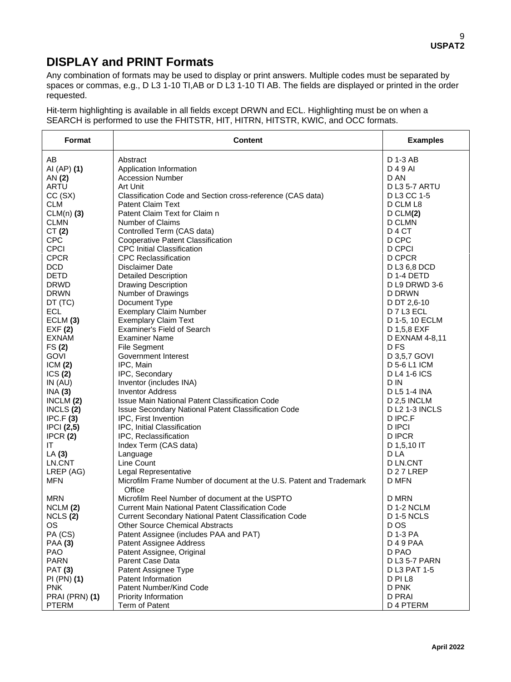## **DISPLAY and PRINT Formats**

Any combination of formats may be used to display or print answers. Multiple codes must be separated by spaces or commas, e.g., D L3 1-10 TI,AB or D L3 1-10 TI AB. The fields are displayed or printed in the order requested.

Hit-term highlighting is available in all fields except DRWN and ECL. Highlighting must be on when a SEARCH is performed to use the FHITSTR, HIT, HITRN, HITSTR, KWIC, and OCC formats.

| Format         | <b>Content</b>                                                      | <b>Examples</b>       |
|----------------|---------------------------------------------------------------------|-----------------------|
| AB             | Abstract                                                            | D 1-3 AB              |
| AI (AP) (1)    | Application Information                                             | D 4 9 AI              |
| AN (2)         | <b>Accession Number</b>                                             | D AN                  |
| ARTU           | Art Unit                                                            | <b>D L3 5-7 ARTU</b>  |
| CC(SX)         | Classification Code and Section cross-reference (CAS data)          | D L3 CC 1-5           |
| <b>CLM</b>     | <b>Patent Claim Text</b>                                            | D CLM L8              |
| $CLM(n)$ (3)   | Patent Claim Text for Claim n                                       | D CLM(2)              |
| <b>CLMN</b>    | <b>Number of Claims</b>                                             | D CLMN                |
| CT(2)          | Controlled Term (CAS data)                                          | D <sub>4</sub> CT     |
| <b>CPC</b>     | <b>Cooperative Patent Classification</b>                            | D CPC                 |
| <b>CPCI</b>    | <b>CPC Initial Classification</b>                                   | <b>D CPCI</b>         |
| <b>CPCR</b>    | <b>CPC Reclassification</b>                                         | D CPCR                |
| <b>DCD</b>     | Disclaimer Date                                                     | D L3 6,8 DCD          |
| <b>DETD</b>    | <b>Detailed Description</b>                                         | D 1-4 DETD            |
| <b>DRWD</b>    | <b>Drawing Description</b>                                          | D L9 DRWD 3-6         |
| <b>DRWN</b>    | Number of Drawings                                                  | D DRWN                |
| DT (TC)        | Document Type                                                       | D DT 2,6-10           |
| <b>ECL</b>     | <b>Exemplary Claim Number</b>                                       | D 7 L3 ECL            |
| ECLM (3)       | <b>Exemplary Claim Text</b>                                         | D 1-5, 10 ECLM        |
| EXF(2)         | <b>Examiner's Field of Search</b>                                   | D 1,5,8 EXF           |
| <b>EXNAM</b>   | <b>Examiner Name</b>                                                | D EXNAM 4-8,11        |
| FS(2)          | <b>File Segment</b>                                                 | D <sub>FS</sub>       |
| <b>GOVI</b>    | Government Interest                                                 | D 3,5,7 GOVI          |
| ICM(2)         | IPC, Main                                                           | D 5-6 L1 ICM          |
| ICS(2)         | IPC, Secondary                                                      | D L4 1-6 ICS          |
| IN $(AU)$      | Inventor (includes INA)                                             | D IN                  |
| INA(3)         | <b>Inventor Address</b>                                             | D L5 1-4 INA          |
| INCLM $(2)$    | Issue Main National Patent Classification Code                      | D 2,5 INCLM           |
| INCLS $(2)$    | Issue Secondary National Patent Classification Code                 | <b>D L2 1-3 INCLS</b> |
| IPC.F(3)       | IPC, First Invention                                                | D IPC.F               |
| IPCI(2,5)      | IPC, Initial Classification                                         | <b>D IPCI</b>         |
| IPCR(2)        | IPC, Reclassification                                               | <b>DIPCR</b>          |
| IT             | Index Term (CAS data)                                               | D 1,5,10 IT           |
| LA(3)          | Language                                                            | D LA                  |
| LN.CNT         | Line Count                                                          | <b>D LN.CNT</b>       |
| LREP (AG)      | Legal Representative                                                | D <sub>27</sub> LREP  |
| <b>MFN</b>     | Microfilm Frame Number of document at the U.S. Patent and Trademark | <b>D MFN</b>          |
| <b>MRN</b>     | Office<br>Microfilm Reel Number of document at the USPTO            | D MRN                 |
| NCLM (2)       | <b>Current Main National Patent Classification Code</b>             | <b>D 1-2 NCLM</b>     |
| NCLS(2)        | Current Secondary National Patent Classification Code               | <b>D 1-5 NCLS</b>     |
| OS.            | <b>Other Source Chemical Abstracts</b>                              | D OS                  |
| PA (CS)        | Patent Assignee (includes PAA and PAT)                              | D 1-3 PA              |
| <b>PAA (3)</b> | Patent Assignee Address                                             | D 4 9 PAA             |
| <b>PAO</b>     | Patent Assignee, Original                                           | D PAO                 |
| <b>PARN</b>    | Parent Case Data                                                    | D L3 5-7 PARN         |
| <b>PAT (3)</b> | Patent Assignee Type                                                | D L3 PAT 1-5          |
| PI (PN) (1)    | Patent Information                                                  | D PI L8               |
| <b>PNK</b>     | Patent Number/Kind Code                                             | D PNK                 |
| PRAI (PRN) (1) | Priority Information                                                | D PRAI                |
| <b>PTERM</b>   | Term of Patent                                                      | D 4 PTERM             |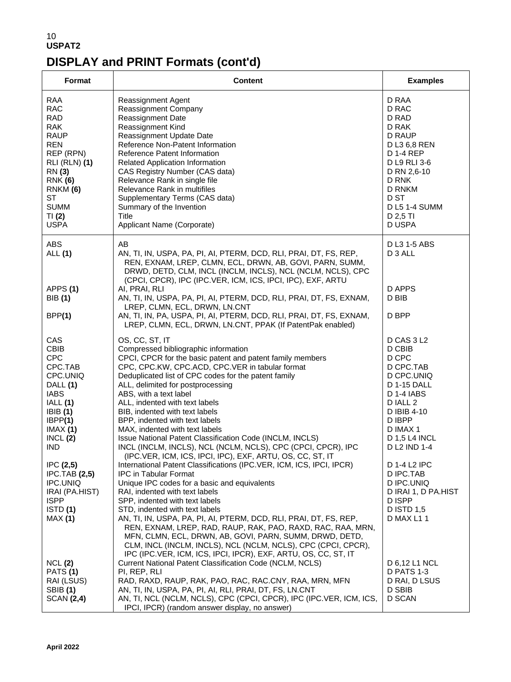## 10 **USPAT2 DISPLAY and PRINT Formats (cont'd)**

| Format                                                                                                                                                                                                                            | <b>Content</b>                                                                                                                                                                                                                                                                                                                                                                                                                                                                                                                                                                                                                                                                                                                                                                                                    | <b>Examples</b>                                                                                                                                                                                                                                         |
|-----------------------------------------------------------------------------------------------------------------------------------------------------------------------------------------------------------------------------------|-------------------------------------------------------------------------------------------------------------------------------------------------------------------------------------------------------------------------------------------------------------------------------------------------------------------------------------------------------------------------------------------------------------------------------------------------------------------------------------------------------------------------------------------------------------------------------------------------------------------------------------------------------------------------------------------------------------------------------------------------------------------------------------------------------------------|---------------------------------------------------------------------------------------------------------------------------------------------------------------------------------------------------------------------------------------------------------|
| RAA<br><b>RAC</b><br><b>RAD</b><br><b>RAK</b><br><b>RAUP</b><br><b>REN</b><br>REP (RPN)<br><b>RLI (RLN) (1)</b><br>RN (3)<br><b>RNK (6)</b><br>RNKM (6)<br><b>ST</b><br><b>SUMM</b><br>TI(2)<br><b>USPA</b>                       | Reassignment Agent<br>Reassignment Company<br><b>Reassignment Date</b><br>Reassignment Kind<br>Reassignment Update Date<br>Reference Non-Patent Information<br>Reference Patent Information<br>Related Application Information<br>CAS Registry Number (CAS data)<br>Relevance Rank in single file<br>Relevance Rank in multifiles<br>Supplementary Terms (CAS data)<br>Summary of the Invention<br>Title<br>Applicant Name (Corporate)                                                                                                                                                                                                                                                                                                                                                                            | D RAA<br>D RAC<br>D RAD<br>D RAK<br>D RAUP<br>D L3 6,8 REN<br>D 1-4 REP<br>D L9 RLI 3-6<br>D RN 2,6-10<br>D RNK<br>D RNKM<br>D ST<br><b>D L5 1-4 SUMM</b><br>D 2,5 TI<br>D USPA                                                                         |
| ABS<br>ALL (1)<br>APPS(1)<br><b>BIB</b> (1)<br>BPP(1)                                                                                                                                                                             | AB<br>AN, TI, IN, USPA, PA, PI, AI, PTERM, DCD, RLI, PRAI, DT, FS, REP,<br>REN, EXNAM, LREP, CLMN, ECL, DRWN, AB, GOVI, PARN, SUMM,<br>DRWD, DETD, CLM, INCL (INCLM, INCLS), NCL (NCLM, NCLS), CPC<br>(CPCI, CPCR), IPC (IPC.VER, ICM, ICS, IPCI, IPC), EXF, ARTU<br>AI, PRAI, RLI<br>AN, TI, IN, USPA, PA, PI, AI, PTERM, DCD, RLI, PRAI, DT, FS, EXNAM,<br>LREP, CLMN, ECL, DRWN, LN.CNT<br>AN, TI, IN, PA, USPA, PI, AI, PTERM, DCD, RLI, PRAI, DT, FS, EXNAM,<br>LREP, CLMN, ECL, DRWN, LN.CNT, PPAK (If PatentPak enabled)                                                                                                                                                                                                                                                                                   | D L3 1-5 ABS<br>D 3 ALL<br>D APPS<br>D BIB<br>D BPP                                                                                                                                                                                                     |
| <b>CAS</b><br><b>CBIB</b><br><b>CPC</b><br>CPC.TAB<br>CPC.UNIQ<br>DALL (1)<br><b>IABS</b><br>IALL (1)<br>IBIB(1)<br>IBPP(1)<br>IMAX(1)<br>INCL(2)<br><b>IND</b><br>IPC(2,5)<br><b>IPC.TAB (2,5)</b><br>IPC.UNIQ<br>IRAI (PA.HIST) | OS, CC, ST, IT<br>Compressed bibliographic information<br>CPCI, CPCR for the basic patent and patent family members<br>CPC, CPC.KW, CPC.ACD, CPC.VER in tabular format<br>Deduplicated list of CPC codes for the patent family<br>ALL, delimited for postprocessing<br>ABS, with a text label<br>ALL, indented with text labels<br>BIB, indented with text labels<br>BPP, indented with text labels<br>MAX, indented with text labels<br>Issue National Patent Classification Code (INCLM, INCLS)<br>INCL (INCLM, INCLS), NCL (NCLM, NCLS), CPC (CPCI, CPCR), IPC<br>(IPC.VER, ICM, ICS, IPCI, IPC), EXF, ARTU, OS, CC, ST, IT<br>International Patent Classifications (IPC.VER, ICM, ICS, IPCI, IPCR)<br>IPC in Tabular Format<br>Unique IPC codes for a basic and equivalents<br>RAI, indented with text labels | D CAS 3 L2<br>D CBIB<br>D CPC<br>D CPC.TAB<br>D CPC.UNIQ<br>D 1-15 DALL<br><b>D 1-4 IABS</b><br>D IALL 2<br>D IBIB 4-10<br>D IBPP<br>D IMAX 1<br><b>D 1,5 L4 INCL</b><br>D L2 IND 1-4<br>D 1-4 L2 IPC<br>D IPC.TAB<br>D IPC.UNIQ<br>D IRAI 1, D PA.HIST |
| <b>ISPP</b><br>ISTD(1)<br>MAX(1)<br>NCL(2)<br><b>PATS (1)</b><br>RAI (LSUS)<br><b>SBIB</b> (1)<br><b>SCAN (2,4)</b>                                                                                                               | SPP, indented with text labels<br>STD, indented with text labels<br>AN, TI, IN, USPA, PA, PI, AI, PTERM, DCD, RLI, PRAI, DT, FS, REP,<br>REN, EXNAM, LREP, RAD, RAUP, RAK, PAO, RAXD, RAC, RAA, MRN,<br>MFN, CLMN, ECL, DRWN, AB, GOVI, PARN, SUMM, DRWD, DETD,<br>CLM, INCL (INCLM, INCLS), NCL (NCLM, NCLS), CPC (CPCI, CPCR),<br>IPC (IPC.VER, ICM, ICS, IPCI, IPCR), EXF, ARTU, OS, CC, ST, IT<br>Current National Patent Classification Code (NCLM, NCLS)<br>PI, REP, RLI<br>RAD, RAXD, RAUP, RAK, PAO, RAC, RAC.CNY, RAA, MRN, MFN<br>AN, TI, IN, USPA, PA, PI, AI, RLI, PRAI, DT, FS, LN.CNT<br>AN, TI, NCL (NCLM, NCLS), CPC (CPCI, CPCR), IPC (IPC. VER, ICM, ICS,<br>IPCI, IPCR) (random answer display, no answer)                                                                                     | D ISPP<br>D ISTD 1,5<br>D MAX L1 1<br>D 6,12 L1 NCL<br><b>D PATS 1-3</b><br>D RAI, D LSUS<br>D SBIB<br>D SCAN                                                                                                                                           |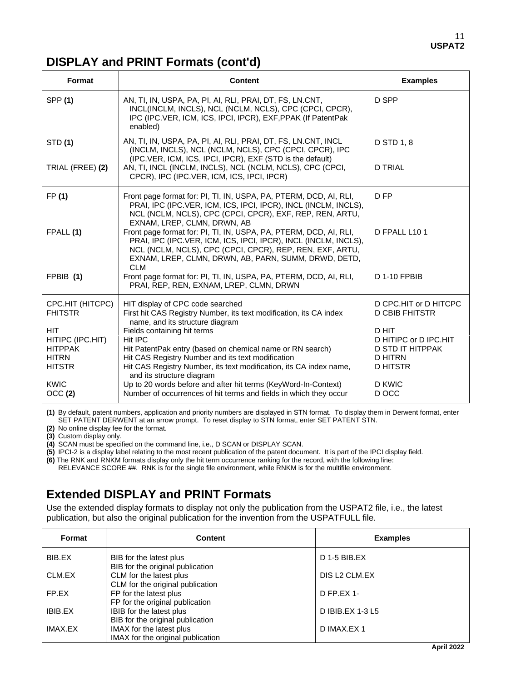## **DISPLAY and PRINT Formats (cont'd)**

| Format                             | <b>Content</b>                                                                                                                                                                                                                                                         | <b>Examples</b>                                |
|------------------------------------|------------------------------------------------------------------------------------------------------------------------------------------------------------------------------------------------------------------------------------------------------------------------|------------------------------------------------|
| <b>SPP (1)</b>                     | AN, TI, IN, USPA, PA, PI, AI, RLI, PRAI, DT, FS, LN.CNT,<br>INCL(INCLM, INCLS), NCL (NCLM, NCLS), CPC (CPCI, CPCR),<br>IPC (IPC.VER, ICM, ICS, IPCI, IPCR), EXF, PPAK (If PatentPak<br>enabled)                                                                        | D SPP                                          |
| <b>STD (1)</b>                     | AN, TI, IN, USPA, PA, PI, AI, RLI, PRAI, DT, FS, LN.CNT, INCL<br>(INCLM, INCLS), NCL (NCLM, NCLS), CPC (CPCI, CPCR), IPC<br>(IPC.VER, ICM, ICS, IPCI, IPCR), EXF (STD is the default)                                                                                  | D STD 1, 8                                     |
| TRIAL (FREE) (2)                   | AN, TI, INCL (INCLM, INCLS), NCL (NCLM, NCLS), CPC (CPCI,<br>CPCR), IPC (IPC.VER, ICM, ICS, IPCI, IPCR)                                                                                                                                                                | <b>D TRIAL</b>                                 |
| FP (1)                             | Front page format for: PI, TI, IN, USPA, PA, PTERM, DCD, AI, RLI,<br>PRAI, IPC (IPC.VER, ICM, ICS, IPCI, IPCR), INCL (INCLM, INCLS),<br>NCL (NCLM, NCLS), CPC (CPCI, CPCR), EXF, REP, REN, ARTU,<br>EXNAM, LREP, CLMN, DRWN, AB                                        | D FP                                           |
| FPALL (1)                          | Front page format for: PI, TI, IN, USPA, PA, PTERM, DCD, AI, RLI,<br>PRAI, IPC (IPC.VER, ICM, ICS, IPCI, IPCR), INCL (INCLM, INCLS),<br>NCL (NCLM, NCLS), CPC (CPCI, CPCR), REP, REN, EXF, ARTU,<br>EXNAM, LREP, CLMN, DRWN, AB, PARN, SUMM, DRWD, DETD,<br><b>CLM</b> | D FPALL L10 1                                  |
| FPBIB (1)                          | Front page format for: PI, TI, IN, USPA, PA, PTERM, DCD, AI, RLI,<br>PRAI, REP, REN, EXNAM, LREP, CLMN, DRWN                                                                                                                                                           | <b>D 1-10 FPBIB</b>                            |
| CPC.HIT (HITCPC)<br><b>FHITSTR</b> | HIT display of CPC code searched<br>First hit CAS Registry Number, its text modification, its CA index                                                                                                                                                                 | D CPC.HIT or D HITCPC<br><b>D CBIB FHITSTR</b> |
| <b>HIT</b><br>HITIPC (IPC.HIT)     | name, and its structure diagram<br>Fields containing hit terms<br>Hit IPC                                                                                                                                                                                              | D HIT<br>D HITIPC or D IPC.HIT                 |
| <b>HITPPAK</b>                     | Hit PatentPak entry (based on chemical name or RN search)                                                                                                                                                                                                              | <b>D STD IT HITPPAK</b>                        |
| <b>HITRN</b><br><b>HITSTR</b>      | Hit CAS Registry Number and its text modification<br>Hit CAS Registry Number, its text modification, its CA index name,<br>and its structure diagram                                                                                                                   | <b>D HITRN</b><br><b>D HITSTR</b>              |
| <b>KWIC</b><br>OCC (2)             | Up to 20 words before and after hit terms (KeyWord-In-Context)<br>Number of occurrences of hit terms and fields in which they occur                                                                                                                                    | D KWIC<br>D OCC                                |

**(1)** By default, patent numbers, application and priority numbers are displayed in STN format. To display them in Derwent format, enter SET PATENT DERWENT at an arrow prompt. To reset display to STN format, enter SET PATENT STN.

**(2)** No online display fee for the format.

**(3)** Custom display only.

**(4)** SCAN must be specified on the command line, i.e., D SCAN or DISPLAY SCAN.

**(5)** IPCI-2 is a display label relating to the most recent publication of the patent document. It is part of the IPCI display field.

**(6)** The RNK and RNKM formats display only the hit term occurrence ranking for the record, with the following line: RELEVANCE SCORE ##. RNK is for the single file environment, while RNKM is for the multifile environment.

## **Extended DISPLAY and PRINT Formats**

Use the extended display formats to display not only the publication from the USPAT2 file, i.e., the latest publication, but also the original publication for the invention from the USPATFULL file.

| Format  | <b>Content</b>                                                | <b>Examples</b>  |
|---------|---------------------------------------------------------------|------------------|
| BIB.EX  | BIB for the latest plus<br>BIB for the original publication   | $D$ 1-5 BIB.EX   |
| CLM.EX  | CLM for the latest plus<br>CLM for the original publication   | DIS L2 CLM.EX    |
| FP.EX   | FP for the latest plus<br>FP for the original publication     | $D$ FP.EX 1-     |
| IBIB.EX | IBIB for the latest plus<br>BIB for the original publication  | D IBIB.EX 1-3 L5 |
| IMAX.EX | IMAX for the latest plus<br>IMAX for the original publication | D IMAX.EX 1      |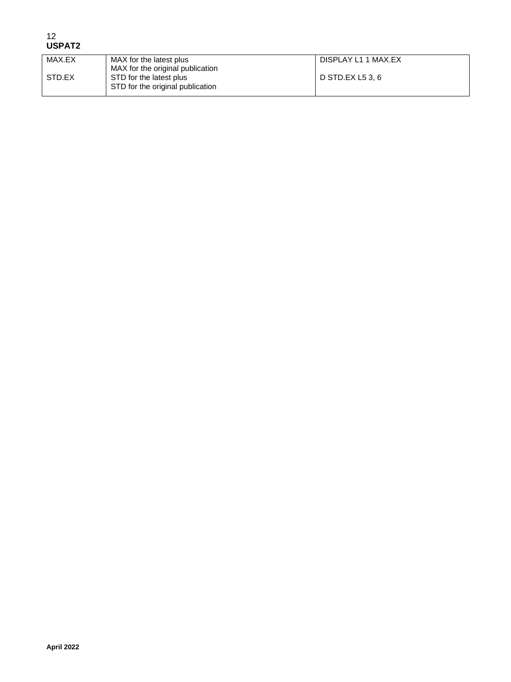| 12            |
|---------------|
| <b>USPAT2</b> |

| MAX.EX | MAX for the latest plus          | DISPLAY L1 1 MAX.EX |
|--------|----------------------------------|---------------------|
|        | MAX for the original publication |                     |
| STD.EX | STD for the latest plus          | D STD.EX L5 3, 6    |
|        | STD for the original publication |                     |
|        |                                  |                     |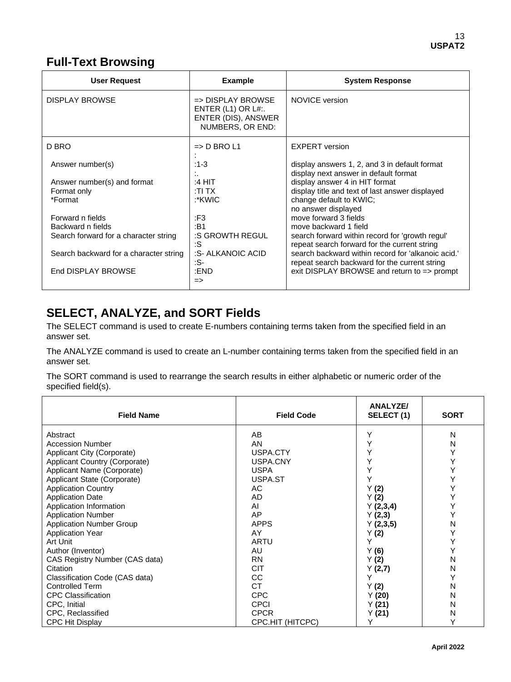## **Full-Text Browsing**

| User Request                           | <b>Example</b>                                                                                    | <b>System Response</b>                                                                              |
|----------------------------------------|---------------------------------------------------------------------------------------------------|-----------------------------------------------------------------------------------------------------|
| <b>DISPLAY BROWSE</b>                  | $\Rightarrow$ DISPLAY BROWSE<br>ENTER $(L1)$ OR $L#$ :<br>ENTER (DIS), ANSWER<br>NUMBERS, OR END: | NOVICE version                                                                                      |
| D BRO                                  | $\Rightarrow$ D BRO L1                                                                            | <b>EXPERT</b> version                                                                               |
| Answer number(s)                       | $:1-3$                                                                                            | display answers 1, 2, and 3 in default format<br>display next answer in default format              |
| Answer number(s) and format            | :4 HIT                                                                                            | display answer 4 in HIT format                                                                      |
| Format only                            | :TI TX                                                                                            | display title and text of last answer displayed                                                     |
| *Format                                | :*KWIC                                                                                            | change default to KWIC;<br>no answer displayed                                                      |
| Forward n fields                       | :F3                                                                                               | move forward 3 fields                                                                               |
| Backward n fields                      | :B1                                                                                               | move backward 1 field                                                                               |
| Search forward for a character string  | :S GROWTH REGUL<br>:S                                                                             | search forward within record for 'growth regul'<br>repeat search forward for the current string     |
| Search backward for a character string | :S- ALKANOIC ACID<br>:S-                                                                          | search backward within record for 'alkanoic acid.'<br>repeat search backward for the current string |
| End DISPLAY BROWSE                     | :END<br>$\Rightarrow$                                                                             | exit DISPLAY BROWSE and return to $\Rightarrow$ prompt                                              |

## **SELECT, ANALYZE, and SORT Fields**

The SELECT command is used to create E-numbers containing terms taken from the specified field in an answer set.

The ANALYZE command is used to create an L-number containing terms taken from the specified field in an answer set.

The SORT command is used to rearrange the search results in either alphabetic or numeric order of the specified field(s).

| <b>Field Name</b>               | <b>Field Code</b> | <b>ANALYZE/</b><br>SELECT (1) | <b>SORT</b> |
|---------------------------------|-------------------|-------------------------------|-------------|
| Abstract                        | AB                | Y                             | N           |
| <b>Accession Number</b>         | AN                |                               | N           |
| Applicant City (Corporate)      | USPA.CTY          |                               | Υ           |
| Applicant Country (Corporate)   | USPA.CNY          |                               | Υ           |
| Applicant Name (Corporate)      | <b>USPA</b>       |                               | Υ           |
| Applicant State (Corporate)     | USPA.ST           |                               | Υ           |
| <b>Application Country</b>      | AC                | Y(2)                          | Υ           |
| <b>Application Date</b>         | AD                | Y(2)                          | Υ           |
| Application Information         | AI                | Y(2,3,4)                      | Υ           |
| <b>Application Number</b>       | AP                | Y(2,3)                        | Y           |
| <b>Application Number Group</b> | <b>APPS</b>       | Y(2,3,5)                      | N           |
| <b>Application Year</b>         | AY                | Y(2)                          | Υ           |
| Art Unit                        | ARTU              |                               | Υ           |
| Author (Inventor)               | AU                | Y(6)                          | Υ           |
| CAS Registry Number (CAS data)  | <b>RN</b>         | Y(2)                          | N           |
| Citation                        | <b>CIT</b>        | Y(2,7)                        | N           |
| Classification Code (CAS data)  | CC                |                               | Υ           |
| <b>Controlled Term</b>          | СT                | Y(2)                          | N           |
| <b>CPC Classification</b>       | <b>CPC</b>        | Y(20)                         | N           |
| CPC, Initial                    | <b>CPCI</b>       | Y(21)                         | N           |
| CPC, Reclassified               | <b>CPCR</b>       | Y(21)                         | N           |
| <b>CPC Hit Display</b>          | CPC.HIT (HITCPC)  | Υ                             |             |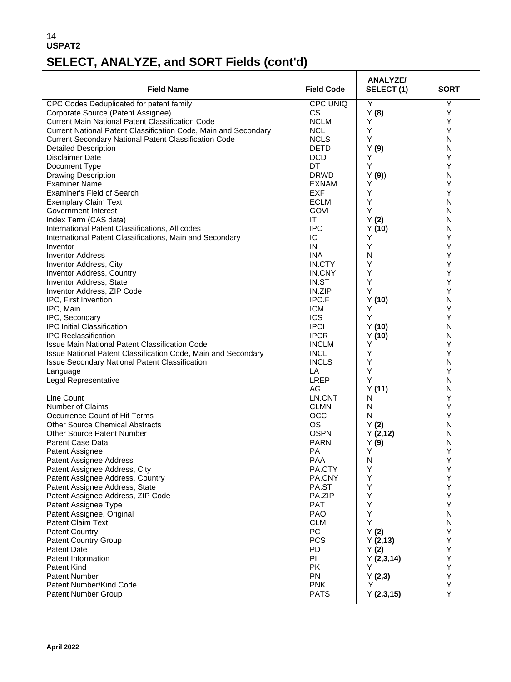# **SELECT, ANALYZE, and SORT Fields (cont'd)**

| Y<br>CPC.UNIQ<br>Υ<br>CPC Codes Deduplicated for patent family<br>Corporate Source (Patent Assignee)<br><b>CS</b><br>Y(8)<br>Υ<br><b>NCLM</b><br><b>Current Main National Patent Classification Code</b><br>Y<br>Υ<br>Current National Patent Classification Code, Main and Secondary<br><b>NCL</b><br>Y<br>Y<br>Y<br>Current Secondary National Patent Classification Code<br><b>NCLS</b><br>N<br><b>DETD</b><br>N<br><b>Detailed Description</b><br>Y(9)<br>Υ<br><b>Disclaimer Date</b><br><b>DCD</b><br>Y<br>Υ<br>Υ<br>DT<br>Document Type<br>N<br><b>DRWD</b><br><b>Drawing Description</b><br>Y(9)<br>Υ<br><b>Examiner Name</b><br>Υ<br>EXNAM<br>Υ<br><b>EXF</b><br>Y<br>Examiner's Field of Search<br><b>ECLM</b><br>Y<br>N<br><b>Exemplary Claim Text</b><br>Υ<br>Government Interest<br>N<br><b>GOVI</b><br>Index Term (CAS data)<br>Y(2)<br>N<br>ΙT<br><b>IPC</b><br>International Patent Classifications, All codes<br>N<br>Y(10)<br>Υ<br>Υ<br>International Patent Classifications, Main and Secondary<br>IС<br>Υ<br>Y<br>IN<br>Inventor<br>Υ<br><b>Inventor Address</b><br><b>INA</b><br>N<br>Υ<br>IN.CTY<br>Y<br>Inventor Address, City<br>Υ<br>IN.CNY<br>Y<br><b>Inventor Address, Country</b><br>Υ<br>Υ<br>Inventor Address, State<br>IN.ST<br>Υ<br>Inventor Address, ZIP Code<br>IN.ZIP<br>Y<br>IPC.F<br>N<br>IPC, First Invention<br>Y(10)<br>Υ<br>Υ<br>IPC, Main<br><b>ICM</b><br><b>ICS</b><br>Y<br>Υ<br>IPC, Secondary<br><b>IPC Initial Classification</b><br><b>IPCI</b><br>N<br>Y(10)<br><b>IPCR</b><br>N<br><b>IPC Reclassification</b><br>Y(10)<br>Υ<br>Issue Main National Patent Classification Code<br><b>INCLM</b><br>Y<br>Υ<br>Issue National Patent Classification Code, Main and Secondary<br><b>INCL</b><br>Y<br>Issue Secondary National Patent Classification<br><b>INCLS</b><br>Y<br>N<br>Υ<br>LA<br>Y<br>Language<br><b>LREP</b><br>Y<br>N<br>Legal Representative<br>N<br>AG<br>Y(11)<br>Υ<br>Line Count<br>LN.CNT<br>N<br>Number of Claims<br>Υ<br><b>CLMN</b><br>N<br>Υ<br>Occurrence Count of Hit Terms<br>OCC<br>N<br><b>Other Source Chemical Abstracts</b><br><b>OS</b><br>N<br>Y(2)<br>Other Source Patent Number<br><b>OSPN</b><br>N<br>Y(2,12)<br><b>PARN</b><br>N<br><b>Parent Case Data</b><br>Y(9)<br>Υ<br>PA<br>Υ<br>Patent Assignee<br>Patent Assignee Address<br>PAA<br>Υ<br>N<br>Υ<br>Y<br>Patent Assignee Address, City<br>PA.CTY<br>Υ<br>Patent Assignee Address, Country<br>PA.CNY<br>Y<br>Υ<br>Patent Assignee Address, State<br>Y<br>PA.ST<br>Υ<br>Υ<br>Patent Assignee Address, ZIP Code<br>PA.ZIP<br>Y<br>Υ<br>Patent Assignee Type<br><b>PAT</b><br>Υ<br>$\mathsf{N}$<br>Patent Assignee, Original<br><b>PAO</b><br>Υ<br>Patent Claim Text<br><b>CLM</b><br>N<br>Υ<br>PC<br><b>Patent Country</b><br>Y(2)<br>Υ<br><b>Patent Country Group</b><br><b>PCS</b><br>Y(2,13)<br>Υ<br><b>PD</b><br><b>Patent Date</b><br>Y(2)<br>Υ<br>Patent Information<br>PI<br>Y(2,3,14)<br>Υ<br>Y<br><b>PK</b><br>Patent Kind<br>Υ<br>Patent Number<br><b>PN</b><br>Y(2,3) | <b>Field Name</b> | <b>Field Code</b> | <b>ANALYZE/</b><br>SELECT(1) | <b>SORT</b> |
|-----------------------------------------------------------------------------------------------------------------------------------------------------------------------------------------------------------------------------------------------------------------------------------------------------------------------------------------------------------------------------------------------------------------------------------------------------------------------------------------------------------------------------------------------------------------------------------------------------------------------------------------------------------------------------------------------------------------------------------------------------------------------------------------------------------------------------------------------------------------------------------------------------------------------------------------------------------------------------------------------------------------------------------------------------------------------------------------------------------------------------------------------------------------------------------------------------------------------------------------------------------------------------------------------------------------------------------------------------------------------------------------------------------------------------------------------------------------------------------------------------------------------------------------------------------------------------------------------------------------------------------------------------------------------------------------------------------------------------------------------------------------------------------------------------------------------------------------------------------------------------------------------------------------------------------------------------------------------------------------------------------------------------------------------------------------------------------------------------------------------------------------------------------------------------------------------------------------------------------------------------------------------------------------------------------------------------------------------------------------------------------------------------------------------------------------------------------------------------------------------------------------------------------------------------------------------------------------------------------------------------------------------------------------------------------------------------------------------------------------------------------------------------------------------------------------------------------------------------------------------------------------------------------------------------------------------------------------------------------------------------------------------|-------------------|-------------------|------------------------------|-------------|
|                                                                                                                                                                                                                                                                                                                                                                                                                                                                                                                                                                                                                                                                                                                                                                                                                                                                                                                                                                                                                                                                                                                                                                                                                                                                                                                                                                                                                                                                                                                                                                                                                                                                                                                                                                                                                                                                                                                                                                                                                                                                                                                                                                                                                                                                                                                                                                                                                                                                                                                                                                                                                                                                                                                                                                                                                                                                                                                                                                                                                       |                   |                   |                              |             |
|                                                                                                                                                                                                                                                                                                                                                                                                                                                                                                                                                                                                                                                                                                                                                                                                                                                                                                                                                                                                                                                                                                                                                                                                                                                                                                                                                                                                                                                                                                                                                                                                                                                                                                                                                                                                                                                                                                                                                                                                                                                                                                                                                                                                                                                                                                                                                                                                                                                                                                                                                                                                                                                                                                                                                                                                                                                                                                                                                                                                                       |                   |                   |                              |             |
|                                                                                                                                                                                                                                                                                                                                                                                                                                                                                                                                                                                                                                                                                                                                                                                                                                                                                                                                                                                                                                                                                                                                                                                                                                                                                                                                                                                                                                                                                                                                                                                                                                                                                                                                                                                                                                                                                                                                                                                                                                                                                                                                                                                                                                                                                                                                                                                                                                                                                                                                                                                                                                                                                                                                                                                                                                                                                                                                                                                                                       |                   |                   |                              |             |
|                                                                                                                                                                                                                                                                                                                                                                                                                                                                                                                                                                                                                                                                                                                                                                                                                                                                                                                                                                                                                                                                                                                                                                                                                                                                                                                                                                                                                                                                                                                                                                                                                                                                                                                                                                                                                                                                                                                                                                                                                                                                                                                                                                                                                                                                                                                                                                                                                                                                                                                                                                                                                                                                                                                                                                                                                                                                                                                                                                                                                       |                   |                   |                              |             |
|                                                                                                                                                                                                                                                                                                                                                                                                                                                                                                                                                                                                                                                                                                                                                                                                                                                                                                                                                                                                                                                                                                                                                                                                                                                                                                                                                                                                                                                                                                                                                                                                                                                                                                                                                                                                                                                                                                                                                                                                                                                                                                                                                                                                                                                                                                                                                                                                                                                                                                                                                                                                                                                                                                                                                                                                                                                                                                                                                                                                                       |                   |                   |                              |             |
|                                                                                                                                                                                                                                                                                                                                                                                                                                                                                                                                                                                                                                                                                                                                                                                                                                                                                                                                                                                                                                                                                                                                                                                                                                                                                                                                                                                                                                                                                                                                                                                                                                                                                                                                                                                                                                                                                                                                                                                                                                                                                                                                                                                                                                                                                                                                                                                                                                                                                                                                                                                                                                                                                                                                                                                                                                                                                                                                                                                                                       |                   |                   |                              |             |
|                                                                                                                                                                                                                                                                                                                                                                                                                                                                                                                                                                                                                                                                                                                                                                                                                                                                                                                                                                                                                                                                                                                                                                                                                                                                                                                                                                                                                                                                                                                                                                                                                                                                                                                                                                                                                                                                                                                                                                                                                                                                                                                                                                                                                                                                                                                                                                                                                                                                                                                                                                                                                                                                                                                                                                                                                                                                                                                                                                                                                       |                   |                   |                              |             |
|                                                                                                                                                                                                                                                                                                                                                                                                                                                                                                                                                                                                                                                                                                                                                                                                                                                                                                                                                                                                                                                                                                                                                                                                                                                                                                                                                                                                                                                                                                                                                                                                                                                                                                                                                                                                                                                                                                                                                                                                                                                                                                                                                                                                                                                                                                                                                                                                                                                                                                                                                                                                                                                                                                                                                                                                                                                                                                                                                                                                                       |                   |                   |                              |             |
|                                                                                                                                                                                                                                                                                                                                                                                                                                                                                                                                                                                                                                                                                                                                                                                                                                                                                                                                                                                                                                                                                                                                                                                                                                                                                                                                                                                                                                                                                                                                                                                                                                                                                                                                                                                                                                                                                                                                                                                                                                                                                                                                                                                                                                                                                                                                                                                                                                                                                                                                                                                                                                                                                                                                                                                                                                                                                                                                                                                                                       |                   |                   |                              |             |
|                                                                                                                                                                                                                                                                                                                                                                                                                                                                                                                                                                                                                                                                                                                                                                                                                                                                                                                                                                                                                                                                                                                                                                                                                                                                                                                                                                                                                                                                                                                                                                                                                                                                                                                                                                                                                                                                                                                                                                                                                                                                                                                                                                                                                                                                                                                                                                                                                                                                                                                                                                                                                                                                                                                                                                                                                                                                                                                                                                                                                       |                   |                   |                              |             |
|                                                                                                                                                                                                                                                                                                                                                                                                                                                                                                                                                                                                                                                                                                                                                                                                                                                                                                                                                                                                                                                                                                                                                                                                                                                                                                                                                                                                                                                                                                                                                                                                                                                                                                                                                                                                                                                                                                                                                                                                                                                                                                                                                                                                                                                                                                                                                                                                                                                                                                                                                                                                                                                                                                                                                                                                                                                                                                                                                                                                                       |                   |                   |                              |             |
|                                                                                                                                                                                                                                                                                                                                                                                                                                                                                                                                                                                                                                                                                                                                                                                                                                                                                                                                                                                                                                                                                                                                                                                                                                                                                                                                                                                                                                                                                                                                                                                                                                                                                                                                                                                                                                                                                                                                                                                                                                                                                                                                                                                                                                                                                                                                                                                                                                                                                                                                                                                                                                                                                                                                                                                                                                                                                                                                                                                                                       |                   |                   |                              |             |
|                                                                                                                                                                                                                                                                                                                                                                                                                                                                                                                                                                                                                                                                                                                                                                                                                                                                                                                                                                                                                                                                                                                                                                                                                                                                                                                                                                                                                                                                                                                                                                                                                                                                                                                                                                                                                                                                                                                                                                                                                                                                                                                                                                                                                                                                                                                                                                                                                                                                                                                                                                                                                                                                                                                                                                                                                                                                                                                                                                                                                       |                   |                   |                              |             |
|                                                                                                                                                                                                                                                                                                                                                                                                                                                                                                                                                                                                                                                                                                                                                                                                                                                                                                                                                                                                                                                                                                                                                                                                                                                                                                                                                                                                                                                                                                                                                                                                                                                                                                                                                                                                                                                                                                                                                                                                                                                                                                                                                                                                                                                                                                                                                                                                                                                                                                                                                                                                                                                                                                                                                                                                                                                                                                                                                                                                                       |                   |                   |                              |             |
|                                                                                                                                                                                                                                                                                                                                                                                                                                                                                                                                                                                                                                                                                                                                                                                                                                                                                                                                                                                                                                                                                                                                                                                                                                                                                                                                                                                                                                                                                                                                                                                                                                                                                                                                                                                                                                                                                                                                                                                                                                                                                                                                                                                                                                                                                                                                                                                                                                                                                                                                                                                                                                                                                                                                                                                                                                                                                                                                                                                                                       |                   |                   |                              |             |
|                                                                                                                                                                                                                                                                                                                                                                                                                                                                                                                                                                                                                                                                                                                                                                                                                                                                                                                                                                                                                                                                                                                                                                                                                                                                                                                                                                                                                                                                                                                                                                                                                                                                                                                                                                                                                                                                                                                                                                                                                                                                                                                                                                                                                                                                                                                                                                                                                                                                                                                                                                                                                                                                                                                                                                                                                                                                                                                                                                                                                       |                   |                   |                              |             |
|                                                                                                                                                                                                                                                                                                                                                                                                                                                                                                                                                                                                                                                                                                                                                                                                                                                                                                                                                                                                                                                                                                                                                                                                                                                                                                                                                                                                                                                                                                                                                                                                                                                                                                                                                                                                                                                                                                                                                                                                                                                                                                                                                                                                                                                                                                                                                                                                                                                                                                                                                                                                                                                                                                                                                                                                                                                                                                                                                                                                                       |                   |                   |                              |             |
|                                                                                                                                                                                                                                                                                                                                                                                                                                                                                                                                                                                                                                                                                                                                                                                                                                                                                                                                                                                                                                                                                                                                                                                                                                                                                                                                                                                                                                                                                                                                                                                                                                                                                                                                                                                                                                                                                                                                                                                                                                                                                                                                                                                                                                                                                                                                                                                                                                                                                                                                                                                                                                                                                                                                                                                                                                                                                                                                                                                                                       |                   |                   |                              |             |
|                                                                                                                                                                                                                                                                                                                                                                                                                                                                                                                                                                                                                                                                                                                                                                                                                                                                                                                                                                                                                                                                                                                                                                                                                                                                                                                                                                                                                                                                                                                                                                                                                                                                                                                                                                                                                                                                                                                                                                                                                                                                                                                                                                                                                                                                                                                                                                                                                                                                                                                                                                                                                                                                                                                                                                                                                                                                                                                                                                                                                       |                   |                   |                              |             |
|                                                                                                                                                                                                                                                                                                                                                                                                                                                                                                                                                                                                                                                                                                                                                                                                                                                                                                                                                                                                                                                                                                                                                                                                                                                                                                                                                                                                                                                                                                                                                                                                                                                                                                                                                                                                                                                                                                                                                                                                                                                                                                                                                                                                                                                                                                                                                                                                                                                                                                                                                                                                                                                                                                                                                                                                                                                                                                                                                                                                                       |                   |                   |                              |             |
|                                                                                                                                                                                                                                                                                                                                                                                                                                                                                                                                                                                                                                                                                                                                                                                                                                                                                                                                                                                                                                                                                                                                                                                                                                                                                                                                                                                                                                                                                                                                                                                                                                                                                                                                                                                                                                                                                                                                                                                                                                                                                                                                                                                                                                                                                                                                                                                                                                                                                                                                                                                                                                                                                                                                                                                                                                                                                                                                                                                                                       |                   |                   |                              |             |
|                                                                                                                                                                                                                                                                                                                                                                                                                                                                                                                                                                                                                                                                                                                                                                                                                                                                                                                                                                                                                                                                                                                                                                                                                                                                                                                                                                                                                                                                                                                                                                                                                                                                                                                                                                                                                                                                                                                                                                                                                                                                                                                                                                                                                                                                                                                                                                                                                                                                                                                                                                                                                                                                                                                                                                                                                                                                                                                                                                                                                       |                   |                   |                              |             |
|                                                                                                                                                                                                                                                                                                                                                                                                                                                                                                                                                                                                                                                                                                                                                                                                                                                                                                                                                                                                                                                                                                                                                                                                                                                                                                                                                                                                                                                                                                                                                                                                                                                                                                                                                                                                                                                                                                                                                                                                                                                                                                                                                                                                                                                                                                                                                                                                                                                                                                                                                                                                                                                                                                                                                                                                                                                                                                                                                                                                                       |                   |                   |                              |             |
|                                                                                                                                                                                                                                                                                                                                                                                                                                                                                                                                                                                                                                                                                                                                                                                                                                                                                                                                                                                                                                                                                                                                                                                                                                                                                                                                                                                                                                                                                                                                                                                                                                                                                                                                                                                                                                                                                                                                                                                                                                                                                                                                                                                                                                                                                                                                                                                                                                                                                                                                                                                                                                                                                                                                                                                                                                                                                                                                                                                                                       |                   |                   |                              |             |
|                                                                                                                                                                                                                                                                                                                                                                                                                                                                                                                                                                                                                                                                                                                                                                                                                                                                                                                                                                                                                                                                                                                                                                                                                                                                                                                                                                                                                                                                                                                                                                                                                                                                                                                                                                                                                                                                                                                                                                                                                                                                                                                                                                                                                                                                                                                                                                                                                                                                                                                                                                                                                                                                                                                                                                                                                                                                                                                                                                                                                       |                   |                   |                              |             |
|                                                                                                                                                                                                                                                                                                                                                                                                                                                                                                                                                                                                                                                                                                                                                                                                                                                                                                                                                                                                                                                                                                                                                                                                                                                                                                                                                                                                                                                                                                                                                                                                                                                                                                                                                                                                                                                                                                                                                                                                                                                                                                                                                                                                                                                                                                                                                                                                                                                                                                                                                                                                                                                                                                                                                                                                                                                                                                                                                                                                                       |                   |                   |                              |             |
|                                                                                                                                                                                                                                                                                                                                                                                                                                                                                                                                                                                                                                                                                                                                                                                                                                                                                                                                                                                                                                                                                                                                                                                                                                                                                                                                                                                                                                                                                                                                                                                                                                                                                                                                                                                                                                                                                                                                                                                                                                                                                                                                                                                                                                                                                                                                                                                                                                                                                                                                                                                                                                                                                                                                                                                                                                                                                                                                                                                                                       |                   |                   |                              |             |
|                                                                                                                                                                                                                                                                                                                                                                                                                                                                                                                                                                                                                                                                                                                                                                                                                                                                                                                                                                                                                                                                                                                                                                                                                                                                                                                                                                                                                                                                                                                                                                                                                                                                                                                                                                                                                                                                                                                                                                                                                                                                                                                                                                                                                                                                                                                                                                                                                                                                                                                                                                                                                                                                                                                                                                                                                                                                                                                                                                                                                       |                   |                   |                              |             |
|                                                                                                                                                                                                                                                                                                                                                                                                                                                                                                                                                                                                                                                                                                                                                                                                                                                                                                                                                                                                                                                                                                                                                                                                                                                                                                                                                                                                                                                                                                                                                                                                                                                                                                                                                                                                                                                                                                                                                                                                                                                                                                                                                                                                                                                                                                                                                                                                                                                                                                                                                                                                                                                                                                                                                                                                                                                                                                                                                                                                                       |                   |                   |                              |             |
|                                                                                                                                                                                                                                                                                                                                                                                                                                                                                                                                                                                                                                                                                                                                                                                                                                                                                                                                                                                                                                                                                                                                                                                                                                                                                                                                                                                                                                                                                                                                                                                                                                                                                                                                                                                                                                                                                                                                                                                                                                                                                                                                                                                                                                                                                                                                                                                                                                                                                                                                                                                                                                                                                                                                                                                                                                                                                                                                                                                                                       |                   |                   |                              |             |
|                                                                                                                                                                                                                                                                                                                                                                                                                                                                                                                                                                                                                                                                                                                                                                                                                                                                                                                                                                                                                                                                                                                                                                                                                                                                                                                                                                                                                                                                                                                                                                                                                                                                                                                                                                                                                                                                                                                                                                                                                                                                                                                                                                                                                                                                                                                                                                                                                                                                                                                                                                                                                                                                                                                                                                                                                                                                                                                                                                                                                       |                   |                   |                              |             |
|                                                                                                                                                                                                                                                                                                                                                                                                                                                                                                                                                                                                                                                                                                                                                                                                                                                                                                                                                                                                                                                                                                                                                                                                                                                                                                                                                                                                                                                                                                                                                                                                                                                                                                                                                                                                                                                                                                                                                                                                                                                                                                                                                                                                                                                                                                                                                                                                                                                                                                                                                                                                                                                                                                                                                                                                                                                                                                                                                                                                                       |                   |                   |                              |             |
|                                                                                                                                                                                                                                                                                                                                                                                                                                                                                                                                                                                                                                                                                                                                                                                                                                                                                                                                                                                                                                                                                                                                                                                                                                                                                                                                                                                                                                                                                                                                                                                                                                                                                                                                                                                                                                                                                                                                                                                                                                                                                                                                                                                                                                                                                                                                                                                                                                                                                                                                                                                                                                                                                                                                                                                                                                                                                                                                                                                                                       |                   |                   |                              |             |
|                                                                                                                                                                                                                                                                                                                                                                                                                                                                                                                                                                                                                                                                                                                                                                                                                                                                                                                                                                                                                                                                                                                                                                                                                                                                                                                                                                                                                                                                                                                                                                                                                                                                                                                                                                                                                                                                                                                                                                                                                                                                                                                                                                                                                                                                                                                                                                                                                                                                                                                                                                                                                                                                                                                                                                                                                                                                                                                                                                                                                       |                   |                   |                              |             |
|                                                                                                                                                                                                                                                                                                                                                                                                                                                                                                                                                                                                                                                                                                                                                                                                                                                                                                                                                                                                                                                                                                                                                                                                                                                                                                                                                                                                                                                                                                                                                                                                                                                                                                                                                                                                                                                                                                                                                                                                                                                                                                                                                                                                                                                                                                                                                                                                                                                                                                                                                                                                                                                                                                                                                                                                                                                                                                                                                                                                                       |                   |                   |                              |             |
|                                                                                                                                                                                                                                                                                                                                                                                                                                                                                                                                                                                                                                                                                                                                                                                                                                                                                                                                                                                                                                                                                                                                                                                                                                                                                                                                                                                                                                                                                                                                                                                                                                                                                                                                                                                                                                                                                                                                                                                                                                                                                                                                                                                                                                                                                                                                                                                                                                                                                                                                                                                                                                                                                                                                                                                                                                                                                                                                                                                                                       |                   |                   |                              |             |
|                                                                                                                                                                                                                                                                                                                                                                                                                                                                                                                                                                                                                                                                                                                                                                                                                                                                                                                                                                                                                                                                                                                                                                                                                                                                                                                                                                                                                                                                                                                                                                                                                                                                                                                                                                                                                                                                                                                                                                                                                                                                                                                                                                                                                                                                                                                                                                                                                                                                                                                                                                                                                                                                                                                                                                                                                                                                                                                                                                                                                       |                   |                   |                              |             |
|                                                                                                                                                                                                                                                                                                                                                                                                                                                                                                                                                                                                                                                                                                                                                                                                                                                                                                                                                                                                                                                                                                                                                                                                                                                                                                                                                                                                                                                                                                                                                                                                                                                                                                                                                                                                                                                                                                                                                                                                                                                                                                                                                                                                                                                                                                                                                                                                                                                                                                                                                                                                                                                                                                                                                                                                                                                                                                                                                                                                                       |                   |                   |                              |             |
|                                                                                                                                                                                                                                                                                                                                                                                                                                                                                                                                                                                                                                                                                                                                                                                                                                                                                                                                                                                                                                                                                                                                                                                                                                                                                                                                                                                                                                                                                                                                                                                                                                                                                                                                                                                                                                                                                                                                                                                                                                                                                                                                                                                                                                                                                                                                                                                                                                                                                                                                                                                                                                                                                                                                                                                                                                                                                                                                                                                                                       |                   |                   |                              |             |
|                                                                                                                                                                                                                                                                                                                                                                                                                                                                                                                                                                                                                                                                                                                                                                                                                                                                                                                                                                                                                                                                                                                                                                                                                                                                                                                                                                                                                                                                                                                                                                                                                                                                                                                                                                                                                                                                                                                                                                                                                                                                                                                                                                                                                                                                                                                                                                                                                                                                                                                                                                                                                                                                                                                                                                                                                                                                                                                                                                                                                       |                   |                   |                              |             |
|                                                                                                                                                                                                                                                                                                                                                                                                                                                                                                                                                                                                                                                                                                                                                                                                                                                                                                                                                                                                                                                                                                                                                                                                                                                                                                                                                                                                                                                                                                                                                                                                                                                                                                                                                                                                                                                                                                                                                                                                                                                                                                                                                                                                                                                                                                                                                                                                                                                                                                                                                                                                                                                                                                                                                                                                                                                                                                                                                                                                                       |                   |                   |                              |             |
|                                                                                                                                                                                                                                                                                                                                                                                                                                                                                                                                                                                                                                                                                                                                                                                                                                                                                                                                                                                                                                                                                                                                                                                                                                                                                                                                                                                                                                                                                                                                                                                                                                                                                                                                                                                                                                                                                                                                                                                                                                                                                                                                                                                                                                                                                                                                                                                                                                                                                                                                                                                                                                                                                                                                                                                                                                                                                                                                                                                                                       |                   |                   |                              |             |
|                                                                                                                                                                                                                                                                                                                                                                                                                                                                                                                                                                                                                                                                                                                                                                                                                                                                                                                                                                                                                                                                                                                                                                                                                                                                                                                                                                                                                                                                                                                                                                                                                                                                                                                                                                                                                                                                                                                                                                                                                                                                                                                                                                                                                                                                                                                                                                                                                                                                                                                                                                                                                                                                                                                                                                                                                                                                                                                                                                                                                       |                   |                   |                              |             |
|                                                                                                                                                                                                                                                                                                                                                                                                                                                                                                                                                                                                                                                                                                                                                                                                                                                                                                                                                                                                                                                                                                                                                                                                                                                                                                                                                                                                                                                                                                                                                                                                                                                                                                                                                                                                                                                                                                                                                                                                                                                                                                                                                                                                                                                                                                                                                                                                                                                                                                                                                                                                                                                                                                                                                                                                                                                                                                                                                                                                                       |                   |                   |                              |             |
|                                                                                                                                                                                                                                                                                                                                                                                                                                                                                                                                                                                                                                                                                                                                                                                                                                                                                                                                                                                                                                                                                                                                                                                                                                                                                                                                                                                                                                                                                                                                                                                                                                                                                                                                                                                                                                                                                                                                                                                                                                                                                                                                                                                                                                                                                                                                                                                                                                                                                                                                                                                                                                                                                                                                                                                                                                                                                                                                                                                                                       |                   |                   |                              |             |
|                                                                                                                                                                                                                                                                                                                                                                                                                                                                                                                                                                                                                                                                                                                                                                                                                                                                                                                                                                                                                                                                                                                                                                                                                                                                                                                                                                                                                                                                                                                                                                                                                                                                                                                                                                                                                                                                                                                                                                                                                                                                                                                                                                                                                                                                                                                                                                                                                                                                                                                                                                                                                                                                                                                                                                                                                                                                                                                                                                                                                       |                   |                   |                              |             |
|                                                                                                                                                                                                                                                                                                                                                                                                                                                                                                                                                                                                                                                                                                                                                                                                                                                                                                                                                                                                                                                                                                                                                                                                                                                                                                                                                                                                                                                                                                                                                                                                                                                                                                                                                                                                                                                                                                                                                                                                                                                                                                                                                                                                                                                                                                                                                                                                                                                                                                                                                                                                                                                                                                                                                                                                                                                                                                                                                                                                                       |                   |                   |                              |             |
|                                                                                                                                                                                                                                                                                                                                                                                                                                                                                                                                                                                                                                                                                                                                                                                                                                                                                                                                                                                                                                                                                                                                                                                                                                                                                                                                                                                                                                                                                                                                                                                                                                                                                                                                                                                                                                                                                                                                                                                                                                                                                                                                                                                                                                                                                                                                                                                                                                                                                                                                                                                                                                                                                                                                                                                                                                                                                                                                                                                                                       |                   |                   |                              |             |
|                                                                                                                                                                                                                                                                                                                                                                                                                                                                                                                                                                                                                                                                                                                                                                                                                                                                                                                                                                                                                                                                                                                                                                                                                                                                                                                                                                                                                                                                                                                                                                                                                                                                                                                                                                                                                                                                                                                                                                                                                                                                                                                                                                                                                                                                                                                                                                                                                                                                                                                                                                                                                                                                                                                                                                                                                                                                                                                                                                                                                       |                   |                   |                              |             |
|                                                                                                                                                                                                                                                                                                                                                                                                                                                                                                                                                                                                                                                                                                                                                                                                                                                                                                                                                                                                                                                                                                                                                                                                                                                                                                                                                                                                                                                                                                                                                                                                                                                                                                                                                                                                                                                                                                                                                                                                                                                                                                                                                                                                                                                                                                                                                                                                                                                                                                                                                                                                                                                                                                                                                                                                                                                                                                                                                                                                                       |                   |                   |                              |             |
|                                                                                                                                                                                                                                                                                                                                                                                                                                                                                                                                                                                                                                                                                                                                                                                                                                                                                                                                                                                                                                                                                                                                                                                                                                                                                                                                                                                                                                                                                                                                                                                                                                                                                                                                                                                                                                                                                                                                                                                                                                                                                                                                                                                                                                                                                                                                                                                                                                                                                                                                                                                                                                                                                                                                                                                                                                                                                                                                                                                                                       |                   |                   |                              |             |
| Υ<br>Patent Number/Kind Code<br><b>PNK</b><br>Y                                                                                                                                                                                                                                                                                                                                                                                                                                                                                                                                                                                                                                                                                                                                                                                                                                                                                                                                                                                                                                                                                                                                                                                                                                                                                                                                                                                                                                                                                                                                                                                                                                                                                                                                                                                                                                                                                                                                                                                                                                                                                                                                                                                                                                                                                                                                                                                                                                                                                                                                                                                                                                                                                                                                                                                                                                                                                                                                                                       |                   |                   |                              |             |
| Υ<br>Patent Number Group<br><b>PATS</b><br>Y(2,3,15)                                                                                                                                                                                                                                                                                                                                                                                                                                                                                                                                                                                                                                                                                                                                                                                                                                                                                                                                                                                                                                                                                                                                                                                                                                                                                                                                                                                                                                                                                                                                                                                                                                                                                                                                                                                                                                                                                                                                                                                                                                                                                                                                                                                                                                                                                                                                                                                                                                                                                                                                                                                                                                                                                                                                                                                                                                                                                                                                                                  |                   |                   |                              |             |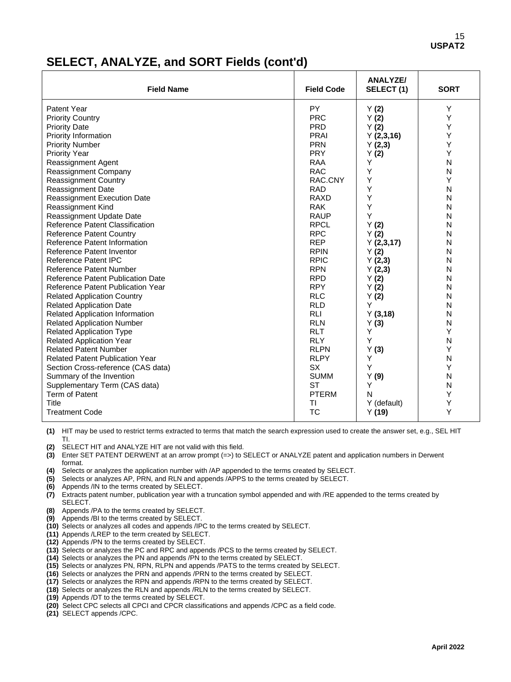## **SELECT, ANALYZE, and SORT Fields (cont'd)**

| <b>Field Name</b>                        | <b>Field Code</b> | <b>ANALYZE/</b><br>SELECT(1) | <b>SORT</b> |
|------------------------------------------|-------------------|------------------------------|-------------|
| Patent Year                              | <b>PY</b>         | Y(2)                         | Y           |
| <b>Priority Country</b>                  | <b>PRC</b>        | Y(2)                         | Y           |
| <b>Priority Date</b>                     | <b>PRD</b>        | Y(2)                         | Y           |
| Priority Information                     | <b>PRAI</b>       | Y(2,3,16)                    | Υ           |
| <b>Priority Number</b>                   | <b>PRN</b>        | Y(2,3)                       | Y           |
| <b>Priority Year</b>                     | <b>PRY</b>        | Y(2)                         | Y           |
| Reassignment Agent                       | <b>RAA</b>        | Y                            | N           |
| Reassignment Company                     | <b>RAC</b>        | Υ                            | N           |
| <b>Reassignment Country</b>              | RAC.CNY           | Y                            | Y           |
| Reassignment Date                        | <b>RAD</b>        | Y                            | N           |
| <b>Reassignment Execution Date</b>       | <b>RAXD</b>       | Υ                            | N           |
| Reassignment Kind                        | <b>RAK</b>        | Υ                            | N           |
| Reassignment Update Date                 | <b>RAUP</b>       | Y                            | N           |
| Reference Patent Classification          | <b>RPCL</b>       | Y(2)                         | N           |
| <b>Reference Patent Country</b>          | <b>RPC</b>        | Y(2)                         | N           |
| Reference Patent Information             | <b>REP</b>        | Y(2,3,17)                    | N           |
| Reference Patent Inventor                | <b>RPIN</b>       | Y(2)                         | N           |
| Reference Patent IPC                     | <b>RPIC</b>       | Y(2,3)                       | N           |
| <b>Reference Patent Number</b>           | <b>RPN</b>        | Y(2,3)                       | N           |
| Reference Patent Publication Date        | <b>RPD</b>        | Y(2)                         | N           |
| <b>Reference Patent Publication Year</b> | <b>RPY</b>        | Y(2)                         | N           |
| <b>Related Application Country</b>       | <b>RLC</b>        | Y(2)                         | N           |
| <b>Related Application Date</b>          | <b>RLD</b>        | Y                            | N           |
| <b>Related Application Information</b>   | <b>RLI</b>        | Y(3,18)                      | N           |
| <b>Related Application Number</b>        | <b>RLN</b>        | Y(3)                         | N           |
| <b>Related Application Type</b>          | <b>RLT</b>        | Υ                            | Y           |
| <b>Related Application Year</b>          | <b>RLY</b>        | Y                            | N           |
| <b>Related Patent Number</b>             | <b>RLPN</b>       | Y(3)                         | Y           |
| <b>Related Patent Publication Year</b>   | <b>RLPY</b>       | Υ                            | N           |
| Section Cross-reference (CAS data)       | <b>SX</b>         | Y                            | Y           |
| Summary of the Invention                 | <b>SUMM</b>       | Y(9)                         | N           |
| Supplementary Term (CAS data)            | <b>ST</b>         | Y                            | N           |
| Term of Patent                           | <b>PTERM</b>      | N                            | Y           |
| Title                                    | ΤI                | Y (default)                  | Y           |
| <b>Treatment Code</b>                    | <b>TC</b>         | Y(19)                        | Y           |

**(1)** HIT may be used to restrict terms extracted to terms that match the search expression used to create the answer set, e.g., SEL HIT TI.

**(2)** SELECT HIT and ANALYZE HIT are not valid with this field.

**(3)** Enter SET PATENT DERWENT at an arrow prompt (=>) to SELECT or ANALYZE patent and application numbers in Derwent format.

**(4)** Selects or analyzes the application number with /AP appended to the terms created by SELECT.

- **(5)** Selects or analyzes AP, PRN, and RLN and appends /APPS to the terms created by SELECT.
- **(6)** Appends /IN to the terms created by SELECT.
- **(7)** Extracts patent number, publication year with a truncation symbol appended and with /RE appended to the terms created by SELECT.
- **(8)** Appends /PA to the terms created by SELECT.
- **(9)** Appends /BI to the terms created by SELECT.
- **(10)** Selects or analyzes all codes and appends /IPC to the terms created by SELECT.
- **(11)** Appends /LREP to the term created by SELECT.
- **(12)** Appends /PN to the terms created by SELECT.
- **(13)** Selects or analyzes the PC and RPC and appends /PCS to the terms created by SELECT.
- **(14)** Selects or analyzes the PN and appends /PN to the terms created by SELECT.
- **(15)** Selects or analyzes PN, RPN, RLPN and appends /PATS to the terms created by SELECT.
- **(16)** Selects or analyzes the PRN and appends /PRN to the terms created by SELECT.
- **(17)** Selects or analyzes the RPN and appends /RPN to the terms created by SELECT.
- **(18)** Selects or analyzes the RLN and appends /RLN to the terms created by SELECT.
- **(19)** Appends /DT to the terms created by SELECT.
- **(20)** Select CPC selects all CPCI and CPCR classifications and appends /CPC as a field code.
- **(21)** SELECT appends /CPC.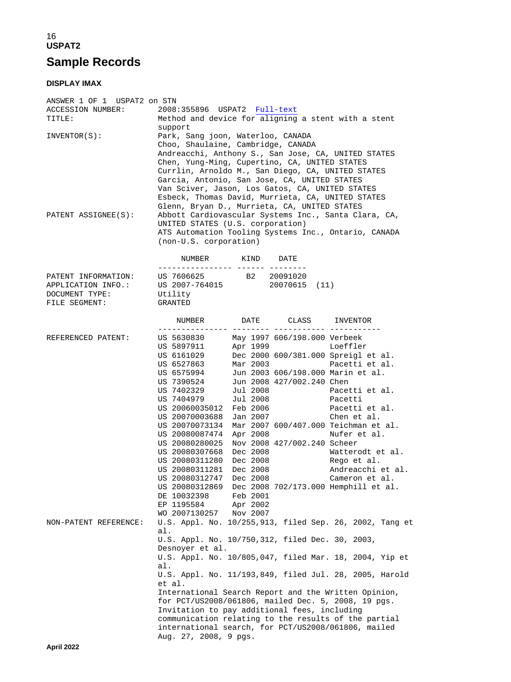## 16 **USPAT2 Sample Records**

### **DISPLAY IMAX**

| ANSWER 1 OF 1 USPAT2 on STN<br>ACCESSION NUMBER:<br>TITLE: | Method and device for aligning a stent with a stent                                                                                                                                                                                                                                                                                                                                                                                                                                                                                                                                                                                                                                                                                                                                                                                                                                                                                                                 |
|------------------------------------------------------------|---------------------------------------------------------------------------------------------------------------------------------------------------------------------------------------------------------------------------------------------------------------------------------------------------------------------------------------------------------------------------------------------------------------------------------------------------------------------------------------------------------------------------------------------------------------------------------------------------------------------------------------------------------------------------------------------------------------------------------------------------------------------------------------------------------------------------------------------------------------------------------------------------------------------------------------------------------------------|
| INVENTOR(S):                                               | support<br>Park, Sang joon, Waterloo, CANADA<br>Choo, Shaulaine, Cambridge, CANADA<br>Andreacchi, Anthony S., San Jose, CA, UNITED STATES<br>Chen, Yung-Ming, Cupertino, CA, UNITED STATES<br>Currlin, Arnoldo M., San Diego, CA, UNITED STATES<br>Garcia, Antonio, San Jose, CA, UNITED STATES<br>Van Sciver, Jason, Los Gatos, CA, UNITED STATES<br>Esbeck, Thomas David, Murrieta, CA, UNITED STATES<br>Glenn, Bryan D., Murrieta, CA, UNITED STATES                                                                                                                                                                                                                                                                                                                                                                                                                                                                                                             |
| PATENT ASSIGNEE(S):                                        | Abbott Cardiovascular Systems Inc., Santa Clara, CA,<br>UNITED STATES (U.S. corporation)<br>ATS Automation Tooling Systems Inc., Ontario, CANADA<br>(non-U.S. corporation)                                                                                                                                                                                                                                                                                                                                                                                                                                                                                                                                                                                                                                                                                                                                                                                          |
|                                                            | NUMBER KIND DATE<br>----------------- ------ -------                                                                                                                                                                                                                                                                                                                                                                                                                                                                                                                                                                                                                                                                                                                                                                                                                                                                                                                |
| DOCUMENT TYPE:                                             | PATENT INFORMATION: US 7606625 B2 20091020<br>APPLICATION INFO.: US 2007-764015 20070615 (11)<br>Utility                                                                                                                                                                                                                                                                                                                                                                                                                                                                                                                                                                                                                                                                                                                                                                                                                                                            |
| FILE SEGMENT:                                              | <b>GRANTED</b>                                                                                                                                                                                                                                                                                                                                                                                                                                                                                                                                                                                                                                                                                                                                                                                                                                                                                                                                                      |
|                                                            | NUMBER DATE CLASS INVENTOR                                                                                                                                                                                                                                                                                                                                                                                                                                                                                                                                                                                                                                                                                                                                                                                                                                                                                                                                          |
| REFERENCED PATENT:                                         | May 1997 606/198.000 Verbeek<br>US 5630830<br>Apr 1999 Loeffler<br>US 5897911<br>US 6161029<br>Dec 2000 600/381.000 Spreigl et al.<br>US 6527863<br>Mar 2003 and the Mar 2003<br>Pacetti et al.<br>Jun 2003 606/198.000 Marin et al.<br>US 6575994<br>Jun 2008 427/002.240 Chen<br>US 7390524<br>US 7402329<br>Jul 2008<br>Pacetti et al.<br>Jul 2008<br>US 7404979<br>Pacetti<br>US 20060035012 Feb 2006<br>Pacetti et al.<br>Jan 2007<br>US 20070003688<br>Chen et al.<br>US 20070073134<br>Mar 2007 600/407.000 Teichman et al.<br>US 20080087474 Apr 2008<br>Nufer et al.<br>US 20080280025 Nov 2008 427/002.240 Scheer<br>US 20080307668<br>Dec 2008<br>Watterodt et al.<br>US 20080311280 Dec 2008<br>Rego et al.<br>US 20080311281<br>Dec 2008<br>Andreacchi et al.<br>US 20080312747 Dec 2008<br>Cameron et al.<br>Dec 2008 702/173.000 Hemphill et al.<br>US 20080312869<br>Feb 2001<br>DE 10032398<br>EP 1195584<br>Apr 2002<br>WO 2007130257<br>Nov 2007 |
| NON-PATENT REFERENCE:                                      | U.S. Appl. No. 10/255,913, filed Sep. 26, 2002, Tang et<br>al.<br>U.S. Appl. No. 10/750,312, filed Dec. 30, 2003,<br>Desnoyer et al.<br>U.S. Appl. No. 10/805,047, filed Mar. 18, 2004, Yip et<br>al.<br>U.S. Appl. No. 11/193,849, filed Jul. 28, 2005, Harold<br>et al.<br>International Search Report and the Written Opinion,<br>for PCT/US2008/061806, mailed Dec. 5, 2008, 19 pgs.<br>Invitation to pay additional fees, including<br>communication relating to the results of the partial<br>international search, for PCT/US2008/061806, mailed<br>Aug. 27, 2008, 9 pgs.                                                                                                                                                                                                                                                                                                                                                                                    |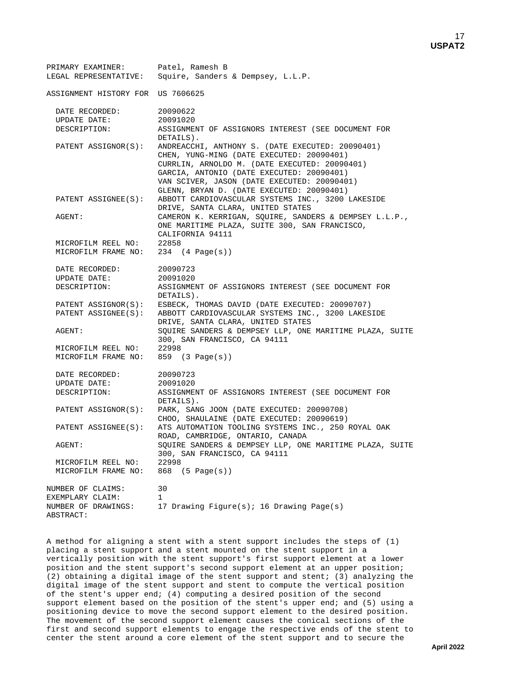| PRIMARY EXAMINER:<br>LEGAL REPRESENTATIVE: | Patel, Ramesh B<br>Squire, Sanders & Dempsey, L.L.P.                                                                                                                                                                                |
|--------------------------------------------|-------------------------------------------------------------------------------------------------------------------------------------------------------------------------------------------------------------------------------------|
| ASSIGNMENT HISTORY FOR US 7606625          |                                                                                                                                                                                                                                     |
| DATE RECORDED:<br>UPDATE DATE:             | 20090622<br>20091020                                                                                                                                                                                                                |
| DESCRIPTION:<br>PATENT ASSIGNOR(S):        | ASSIGNMENT OF ASSIGNORS INTEREST (SEE DOCUMENT FOR<br>DETAILS).<br>ANDREACCHI, ANTHONY S. (DATE EXECUTED: 20090401)                                                                                                                 |
|                                            | CHEN, YUNG-MING (DATE EXECUTED: 20090401)<br>CURRLIN, ARNOLDO M. (DATE EXECUTED: 20090401)<br>GARCIA, ANTONIO (DATE EXECUTED: 20090401)<br>VAN SCIVER, JASON (DATE EXECUTED: 20090401)<br>GLENN, BRYAN D. (DATE EXECUTED: 20090401) |
| PATENT ASSIGNEE(S):                        | ABBOTT CARDIOVASCULAR SYSTEMS INC., 3200 LAKESIDE<br>DRIVE, SANTA CLARA, UNITED STATES                                                                                                                                              |
| AGENT:                                     | CAMERON K. KERRIGAN, SQUIRE, SANDERS & DEMPSEY L.L.P.,<br>ONE MARITIME PLAZA, SUITE 300, SAN FRANCISCO,<br>CALIFORNIA 94111                                                                                                         |
| MICROFILM REEL NO:                         | 22858                                                                                                                                                                                                                               |
| MICROFILM FRAME NO: 234 (4 Page(s))        |                                                                                                                                                                                                                                     |
| DATE RECORDED:                             | 20090723                                                                                                                                                                                                                            |
| UPDATE DATE:                               | 20091020                                                                                                                                                                                                                            |
| DESCRIPTION:                               | ASSIGNMENT OF ASSIGNORS INTEREST (SEE DOCUMENT FOR<br>DETAILS).                                                                                                                                                                     |
|                                            | PATENT ASSIGNOR(S): ESBECK, THOMAS DAVID (DATE EXECUTED: 20090707)                                                                                                                                                                  |
| PATENT ASSIGNEE(S):                        | ABBOTT CARDIOVASCULAR SYSTEMS INC., 3200 LAKESIDE<br>DRIVE, SANTA CLARA, UNITED STATES                                                                                                                                              |
| AGENT:                                     | SQUIRE SANDERS & DEMPSEY LLP, ONE MARITIME PLAZA, SUITE<br>300, SAN FRANCISCO, CA 94111                                                                                                                                             |
| MICROFILM REEL NO:                         | 22998                                                                                                                                                                                                                               |
| MICROFILM FRAME NO:                        | 859 (3 Page(s))                                                                                                                                                                                                                     |
| DATE RECORDED:                             | 20090723                                                                                                                                                                                                                            |
| UPDATE DATE:<br>DESCRIPTION:               | 20091020<br>ASSIGNMENT OF ASSIGNORS INTEREST (SEE DOCUMENT FOR                                                                                                                                                                      |
|                                            | DETAILS).                                                                                                                                                                                                                           |
| PATENT ASSIGNOR(S):                        | PARK, SANG JOON (DATE EXECUTED: 20090708)<br>CHOO, SHAULAINE (DATE EXECUTED: 20090619)                                                                                                                                              |
| PATENT ASSIGNEE(S):                        | ATS AUTOMATION TOOLING SYSTEMS INC., 250 ROYAL OAK<br>ROAD, CAMBRIDGE, ONTARIO, CANADA                                                                                                                                              |
| AGENT:                                     | SQUIRE SANDERS & DEMPSEY LLP, ONE MARITIME PLAZA, SUITE<br>300, SAN FRANCISCO, CA 94111                                                                                                                                             |
| MICROFILM REEL NO:                         | 22998                                                                                                                                                                                                                               |
| MICROFILM FRAME NO:                        | 868 (5 Page(s))                                                                                                                                                                                                                     |
| NUMBER OF CLAIMS:                          | 30                                                                                                                                                                                                                                  |
| EXEMPLARY CLAIM:                           | 1                                                                                                                                                                                                                                   |
| NUMBER OF DRAWINGS:<br>ABSTRACT:           | 17 Drawing Figure(s); 16 Drawing Page(s)                                                                                                                                                                                            |

A method for aligning a stent with a stent support includes the steps of (1) placing a stent support and a stent mounted on the stent support in a vertically position with the stent support's first support element at a lower position and the stent support's second support element at an upper position; (2) obtaining a digital image of the stent support and stent; (3) analyzing the digital image of the stent support and stent to compute the vertical position of the stent's upper end; (4) computing a desired position of the second support element based on the position of the stent's upper end; and (5) using a positioning device to move the second support element to the desired position. The movement of the second support element causes the conical sections of the first and second support elements to engage the respective ends of the stent to center the stent around a core element of the stent support and to secure the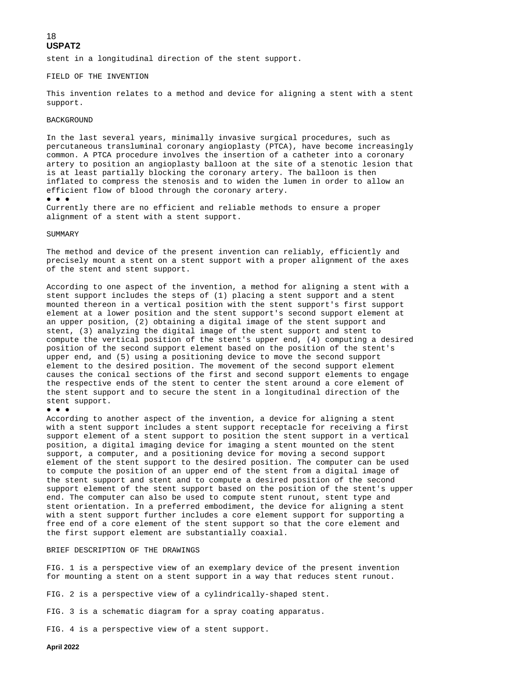stent in a longitudinal direction of the stent support.

#### FIELD OF THE INVENTION

This invention relates to a method and device for aligning a stent with a stent support.

#### BACKGROUND

In the last several years, minimally invasive surgical procedures, such as percutaneous transluminal coronary angioplasty (PTCA), have become increasingly common. A PTCA procedure involves the insertion of a catheter into a coronary artery to position an angioplasty balloon at the site of a stenotic lesion that is at least partially blocking the coronary artery. The balloon is then inflated to compress the stenosis and to widen the lumen in order to allow an efficient flow of blood through the coronary artery.

● ● ●

Currently there are no efficient and reliable methods to ensure a proper alignment of a stent with a stent support.

#### SUMMARY

The method and device of the present invention can reliably, efficiently and precisely mount a stent on a stent support with a proper alignment of the axes of the stent and stent support.

According to one aspect of the invention, a method for aligning a stent with a stent support includes the steps of (1) placing a stent support and a stent mounted thereon in a vertical position with the stent support's first support element at a lower position and the stent support's second support element at an upper position, (2) obtaining a digital image of the stent support and stent, (3) analyzing the digital image of the stent support and stent to compute the vertical position of the stent's upper end, (4) computing a desired position of the second support element based on the position of the stent's upper end, and (5) using a positioning device to move the second support element to the desired position. The movement of the second support element causes the conical sections of the first and second support elements to engage the respective ends of the stent to center the stent around a core element of the stent support and to secure the stent in a longitudinal direction of the stent support.

#### ● ● ●

According to another aspect of the invention, a device for aligning a stent with a stent support includes a stent support receptacle for receiving a first support element of a stent support to position the stent support in a vertical position, a digital imaging device for imaging a stent mounted on the stent support, a computer, and a positioning device for moving a second support element of the stent support to the desired position. The computer can be used to compute the position of an upper end of the stent from a digital image of the stent support and stent and to compute a desired position of the second support element of the stent support based on the position of the stent's upper end. The computer can also be used to compute stent runout, stent type and stent orientation. In a preferred embodiment, the device for aligning a stent with a stent support further includes a core element support for supporting a free end of a core element of the stent support so that the core element and the first support element are substantially coaxial.

### BRIEF DESCRIPTION OF THE DRAWINGS

FIG. 1 is a perspective view of an exemplary device of the present invention for mounting a stent on a stent support in a way that reduces stent runout.

FIG. 2 is a perspective view of a cylindrically-shaped stent.

FIG. 3 is a schematic diagram for a spray coating apparatus.

FIG. 4 is a perspective view of a stent support.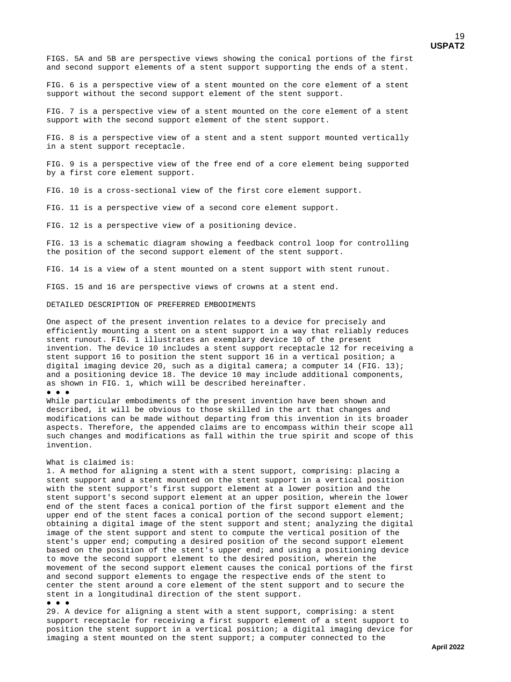FIGS. 5A and 5B are perspective views showing the conical portions of the first and second support elements of a stent support supporting the ends of a stent.

FIG. 6 is a perspective view of a stent mounted on the core element of a stent support without the second support element of the stent support.

FIG. 7 is a perspective view of a stent mounted on the core element of a stent support with the second support element of the stent support.

FIG. 8 is a perspective view of a stent and a stent support mounted vertically in a stent support receptacle.

FIG. 9 is a perspective view of the free end of a core element being supported by a first core element support.

FIG. 10 is a cross-sectional view of the first core element support.

FIG. 11 is a perspective view of a second core element support.

FIG. 12 is a perspective view of a positioning device.

FIG. 13 is a schematic diagram showing a feedback control loop for controlling the position of the second support element of the stent support.

FIG. 14 is a view of a stent mounted on a stent support with stent runout.

FIGS. 15 and 16 are perspective views of crowns at a stent end.

DETAILED DESCRIPTION OF PREFERRED EMBODIMENTS

One aspect of the present invention relates to a device for precisely and efficiently mounting a stent on a stent support in a way that reliably reduces stent runout. FIG. 1 illustrates an exemplary device 10 of the present invention. The device 10 includes a stent support receptacle 12 for receiving a stent support 16 to position the stent support 16 in a vertical position; a digital imaging device 20, such as a digital camera; a computer 14 (FIG. 13); and a positioning device 18. The device 10 may include additional components, as shown in FIG. 1, which will be described hereinafter.

### ● ● ●

While particular embodiments of the present invention have been shown and described, it will be obvious to those skilled in the art that changes and modifications can be made without departing from this invention in its broader aspects. Therefore, the appended claims are to encompass within their scope all such changes and modifications as fall within the true spirit and scope of this invention.

### What is claimed is:

1. A method for aligning a stent with a stent support, comprising: placing a stent support and a stent mounted on the stent support in a vertical position with the stent support's first support element at a lower position and the stent support's second support element at an upper position, wherein the lower end of the stent faces a conical portion of the first support element and the upper end of the stent faces a conical portion of the second support element; obtaining a digital image of the stent support and stent; analyzing the digital image of the stent support and stent to compute the vertical position of the stent's upper end; computing a desired position of the second support element based on the position of the stent's upper end; and using a positioning device to move the second support element to the desired position, wherein the movement of the second support element causes the conical portions of the first and second support elements to engage the respective ends of the stent to center the stent around a core element of the stent support and to secure the stent in a longitudinal direction of the stent support.

#### ● ● ●

29. A device for aligning a stent with a stent support, comprising: a stent support receptacle for receiving a first support element of a stent support to position the stent support in a vertical position; a digital imaging device for imaging a stent mounted on the stent support; a computer connected to the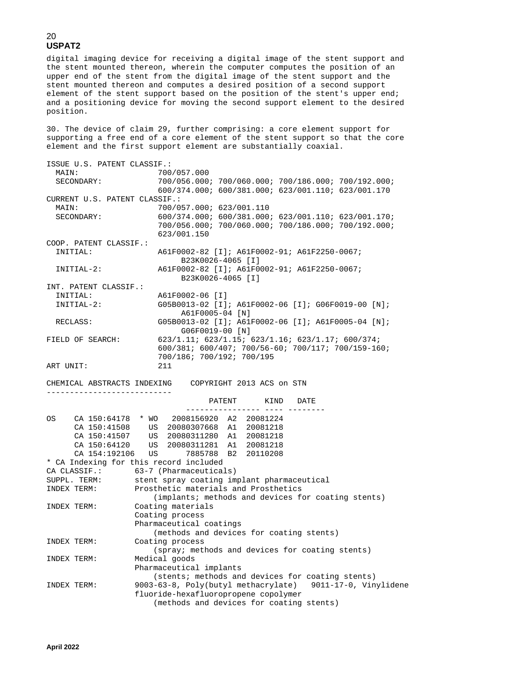digital imaging device for receiving a digital image of the stent support and the stent mounted thereon, wherein the computer computes the position of an upper end of the stent from the digital image of the stent support and the stent mounted thereon and computes a desired position of a second support element of the stent support based on the position of the stent's upper end; and a positioning device for moving the second support element to the desired position.

30. The device of claim 29, further comprising: a core element support for supporting a free end of a core element of the stent support so that the core element and the first support element are substantially coaxial.

|           | ISSUE U.S. PATENT CLASSIF.:   |                                                                   |
|-----------|-------------------------------|-------------------------------------------------------------------|
| MAIN:     |                               | 700/057.000                                                       |
|           | SECONDARY:                    | 700/056.000; 700/060.000; 700/186.000; 700/192.000;               |
|           |                               | 600/374.000; 600/381.000; 623/001.110; 623/001.170                |
|           | CURRENT U.S. PATENT CLASSIF.: |                                                                   |
| MAIN:     |                               | 700/057.000; 623/001.110                                          |
|           | SECONDARY:                    | 600/374.000; 600/381.000; 623/001.110; 623/001.170;               |
|           |                               | 700/056.000; 700/060.000; 700/186.000; 700/192.000;               |
|           |                               | 623/001.150                                                       |
|           | COOP. PATENT CLASSIF.:        |                                                                   |
|           | INITIAL:                      | A61F0002-82 [I]; A61F0002-91; A61F2250-0067;<br>B23K0026-4065 [I] |
|           | INITIAL-2:                    | A61F0002-82 [I]; A61F0002-91; A61F2250-0067;<br>B23K0026-4065 [I] |
|           | INT. PATENT CLASSIF.:         |                                                                   |
|           | INITIAL:                      | A61F0002-06 [I]                                                   |
|           | $INTIAL-2:$                   | G05B0013-02 [I]; A61F0002-06 [I]; G06F0019-00 [N];                |
|           |                               | A61F0005-04 [N]                                                   |
|           | RECLASS:                      | G05B0013-02 [I]; A61F0002-06 [I]; A61F0005-04 [N];                |
|           |                               | G06F0019-00 [N]                                                   |
|           | FIELD OF SEARCH:              | $623/1.11$ ; $623/1.15$ ; $623/1.16$ ; $623/1.17$ ; $600/374$ ;   |
|           |                               | 600/381; 600/407; 700/56-60; 700/117; 700/159-160;                |
|           |                               | 700/186; 700/192; 700/195                                         |
| ART UNIT: |                               | 211                                                               |
|           |                               |                                                                   |
|           |                               | CHEMICAL ABSTRACTS INDEXING COPYRIGHT 2013 ACS on STN             |
|           |                               |                                                                   |
|           |                               | PATENT<br>KIND<br>DATE<br>_________________ ____ ____             |
| OS        |                               | CA 150:64178 * WO 2008156920 A2 20081224                          |
|           | CA 150:41508                  | US 20080307668 A1 20081218                                        |
|           |                               |                                                                   |
|           |                               |                                                                   |
|           | CA 154:192106 US              | 7885788 B2 20110208                                               |
|           |                               | * CA Indexing for this record included                            |
|           |                               | CA CLASSIF.: 63-7 (Pharmaceuticals)                               |
|           | SUPPL. TERM:                  | stent spray coating implant pharmaceutical                        |
|           | INDEX TERM:                   | Prosthetic materials and Prosthetics                              |
|           |                               | (implants; methods and devices for coating stents)                |
|           | INDEX TERM:                   | Coating materials                                                 |
|           |                               | Coating process                                                   |
|           |                               | Pharmaceutical coatings                                           |
|           |                               | (methods and devices for coating stents)                          |
|           | INDEX TERM:                   | Coating process                                                   |
|           |                               | (spray; methods and devices for coating stents)                   |
|           | INDEX TERM:                   | Medical goods                                                     |
|           |                               | Pharmaceutical implants                                           |
|           |                               | (stents; methods and devices for coating stents)                  |
|           | INDEX TERM:                   | 9003-63-8, Poly(butyl methacrylate) 9011-17-0, Vinylidene         |
|           |                               | fluoride-hexafluoropropene copolymer                              |
|           |                               | (methods and devices for coating stents)                          |
|           |                               |                                                                   |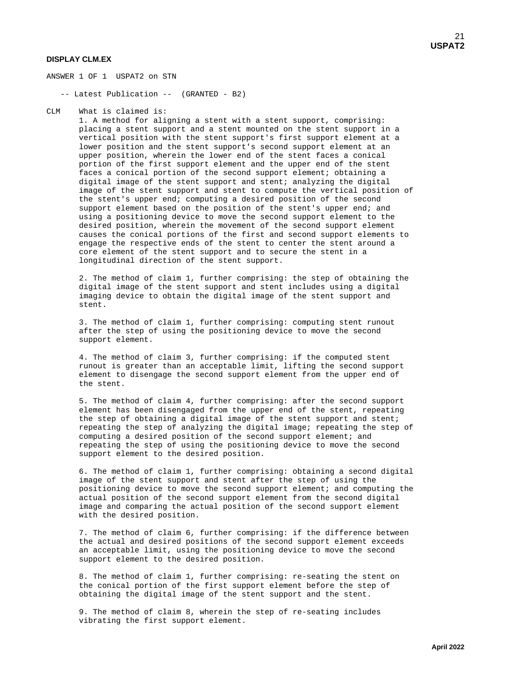### **DISPLAY CLM.EX**

ANSWER 1 OF 1 USPAT2 on STN

-- Latest Publication -- (GRANTED - B2)

CLM What is claimed is:

 1. A method for aligning a stent with a stent support, comprising: placing a stent support and a stent mounted on the stent support in a vertical position with the stent support's first support element at a lower position and the stent support's second support element at an upper position, wherein the lower end of the stent faces a conical portion of the first support element and the upper end of the stent faces a conical portion of the second support element; obtaining a digital image of the stent support and stent; analyzing the digital image of the stent support and stent to compute the vertical position of the stent's upper end; computing a desired position of the second support element based on the position of the stent's upper end; and using a positioning device to move the second support element to the desired position, wherein the movement of the second support element causes the conical portions of the first and second support elements to engage the respective ends of the stent to center the stent around a core element of the stent support and to secure the stent in a longitudinal direction of the stent support.

 2. The method of claim 1, further comprising: the step of obtaining the digital image of the stent support and stent includes using a digital imaging device to obtain the digital image of the stent support and stent.

 3. The method of claim 1, further comprising: computing stent runout after the step of using the positioning device to move the second support element.

 4. The method of claim 3, further comprising: if the computed stent runout is greater than an acceptable limit, lifting the second support element to disengage the second support element from the upper end of the stent.

 5. The method of claim 4, further comprising: after the second support element has been disengaged from the upper end of the stent, repeating the step of obtaining a digital image of the stent support and stent; repeating the step of analyzing the digital image; repeating the step of computing a desired position of the second support element; and repeating the step of using the positioning device to move the second support element to the desired position.

 6. The method of claim 1, further comprising: obtaining a second digital image of the stent support and stent after the step of using the positioning device to move the second support element; and computing the actual position of the second support element from the second digital image and comparing the actual position of the second support element with the desired position.

 7. The method of claim 6, further comprising: if the difference between the actual and desired positions of the second support element exceeds an acceptable limit, using the positioning device to move the second support element to the desired position.

 8. The method of claim 1, further comprising: re-seating the stent on the conical portion of the first support element before the step of obtaining the digital image of the stent support and the stent.

 9. The method of claim 8, wherein the step of re-seating includes vibrating the first support element.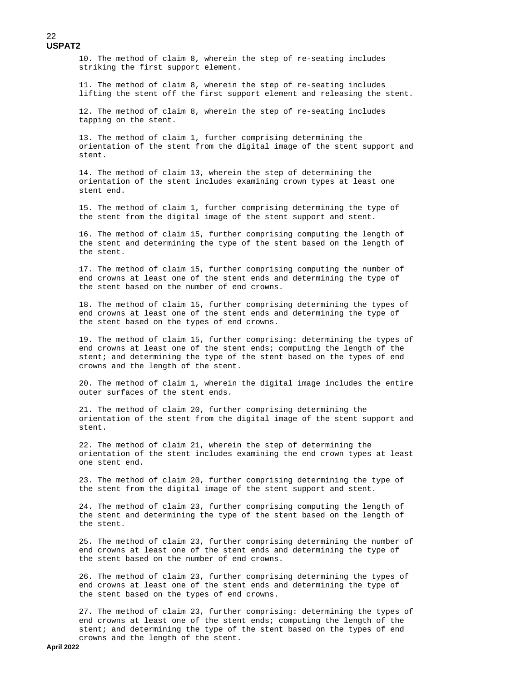10. The method of claim 8, wherein the step of re-seating includes striking the first support element.

 11. The method of claim 8, wherein the step of re-seating includes lifting the stent off the first support element and releasing the stent.

 12. The method of claim 8, wherein the step of re-seating includes tapping on the stent.

 13. The method of claim 1, further comprising determining the orientation of the stent from the digital image of the stent support and stent.

 14. The method of claim 13, wherein the step of determining the orientation of the stent includes examining crown types at least one stent end.

 15. The method of claim 1, further comprising determining the type of the stent from the digital image of the stent support and stent.

 16. The method of claim 15, further comprising computing the length of the stent and determining the type of the stent based on the length of the stent.

 17. The method of claim 15, further comprising computing the number of end crowns at least one of the stent ends and determining the type of the stent based on the number of end crowns.

 18. The method of claim 15, further comprising determining the types of end crowns at least one of the stent ends and determining the type of the stent based on the types of end crowns.

 19. The method of claim 15, further comprising: determining the types of end crowns at least one of the stent ends; computing the length of the stent; and determining the type of the stent based on the types of end crowns and the length of the stent.

 20. The method of claim 1, wherein the digital image includes the entire outer surfaces of the stent ends.

 21. The method of claim 20, further comprising determining the orientation of the stent from the digital image of the stent support and stent.

 22. The method of claim 21, wherein the step of determining the orientation of the stent includes examining the end crown types at least one stent end.

 23. The method of claim 20, further comprising determining the type of the stent from the digital image of the stent support and stent.

 24. The method of claim 23, further comprising computing the length of the stent and determining the type of the stent based on the length of the stent.

 25. The method of claim 23, further comprising determining the number of end crowns at least one of the stent ends and determining the type of the stent based on the number of end crowns.

 26. The method of claim 23, further comprising determining the types of end crowns at least one of the stent ends and determining the type of the stent based on the types of end crowns.

 27. The method of claim 23, further comprising: determining the types of end crowns at least one of the stent ends; computing the length of the stent; and determining the type of the stent based on the types of end crowns and the length of the stent.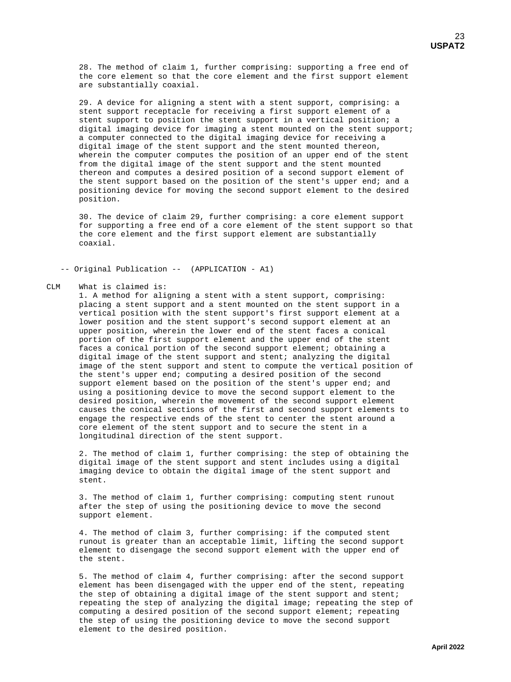28. The method of claim 1, further comprising: supporting a free end of the core element so that the core element and the first support element are substantially coaxial.

 29. A device for aligning a stent with a stent support, comprising: a stent support receptacle for receiving a first support element of a stent support to position the stent support in a vertical position; a digital imaging device for imaging a stent mounted on the stent support; a computer connected to the digital imaging device for receiving a digital image of the stent support and the stent mounted thereon, wherein the computer computes the position of an upper end of the stent from the digital image of the stent support and the stent mounted thereon and computes a desired position of a second support element of the stent support based on the position of the stent's upper end; and a positioning device for moving the second support element to the desired position.

 30. The device of claim 29, further comprising: a core element support for supporting a free end of a core element of the stent support so that the core element and the first support element are substantially coaxial.

-- Original Publication -- (APPLICATION - A1)

#### **CLM** What is claimed is:

 1. A method for aligning a stent with a stent support, comprising: placing a stent support and a stent mounted on the stent support in a vertical position with the stent support's first support element at a lower position and the stent support's second support element at an upper position, wherein the lower end of the stent faces a conical portion of the first support element and the upper end of the stent faces a conical portion of the second support element; obtaining a digital image of the stent support and stent; analyzing the digital image of the stent support and stent to compute the vertical position of the stent's upper end; computing a desired position of the second support element based on the position of the stent's upper end; and using a positioning device to move the second support element to the desired position, wherein the movement of the second support element causes the conical sections of the first and second support elements to engage the respective ends of the stent to center the stent around a core element of the stent support and to secure the stent in a longitudinal direction of the stent support.

 2. The method of claim 1, further comprising: the step of obtaining the digital image of the stent support and stent includes using a digital imaging device to obtain the digital image of the stent support and stent.

 3. The method of claim 1, further comprising: computing stent runout after the step of using the positioning device to move the second support element.

 4. The method of claim 3, further comprising: if the computed stent runout is greater than an acceptable limit, lifting the second support element to disengage the second support element with the upper end of the stent.

 5. The method of claim 4, further comprising: after the second support element has been disengaged with the upper end of the stent, repeating the step of obtaining a digital image of the stent support and stent; repeating the step of analyzing the digital image; repeating the step of computing a desired position of the second support element; repeating the step of using the positioning device to move the second support element to the desired position.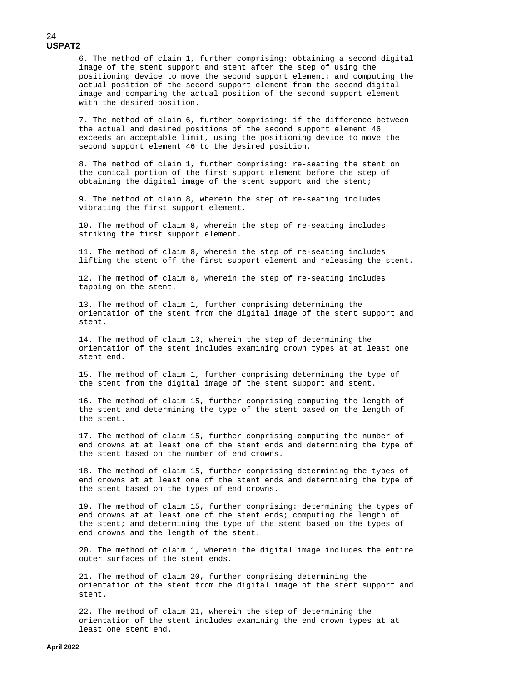6. The method of claim 1, further comprising: obtaining a second digital image of the stent support and stent after the step of using the positioning device to move the second support element; and computing the actual position of the second support element from the second digital image and comparing the actual position of the second support element with the desired position.

 7. The method of claim 6, further comprising: if the difference between the actual and desired positions of the second support element 46 exceeds an acceptable limit, using the positioning device to move the second support element 46 to the desired position.

 8. The method of claim 1, further comprising: re-seating the stent on the conical portion of the first support element before the step of obtaining the digital image of the stent support and the stent;

 9. The method of claim 8, wherein the step of re-seating includes vibrating the first support element.

 10. The method of claim 8, wherein the step of re-seating includes striking the first support element.

 11. The method of claim 8, wherein the step of re-seating includes lifting the stent off the first support element and releasing the stent.

 12. The method of claim 8, wherein the step of re-seating includes tapping on the stent.

 13. The method of claim 1, further comprising determining the orientation of the stent from the digital image of the stent support and stent.

 14. The method of claim 13, wherein the step of determining the orientation of the stent includes examining crown types at at least one stent end.

 15. The method of claim 1, further comprising determining the type of the stent from the digital image of the stent support and stent.

 16. The method of claim 15, further comprising computing the length of the stent and determining the type of the stent based on the length of the stent.

 17. The method of claim 15, further comprising computing the number of end crowns at at least one of the stent ends and determining the type of the stent based on the number of end crowns.

 18. The method of claim 15, further comprising determining the types of end crowns at at least one of the stent ends and determining the type of the stent based on the types of end crowns.

 19. The method of claim 15, further comprising: determining the types of end crowns at at least one of the stent ends; computing the length of the stent; and determining the type of the stent based on the types of end crowns and the length of the stent.

 20. The method of claim 1, wherein the digital image includes the entire outer surfaces of the stent ends.

 21. The method of claim 20, further comprising determining the orientation of the stent from the digital image of the stent support and stent.

 22. The method of claim 21, wherein the step of determining the orientation of the stent includes examining the end crown types at at least one stent end.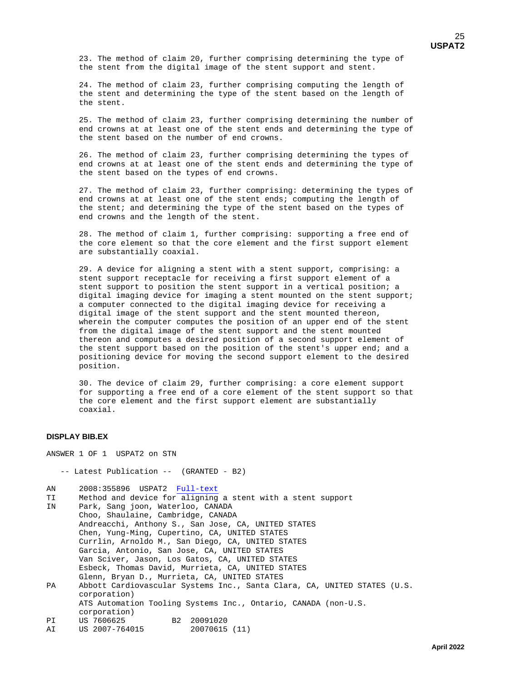23. The method of claim 20, further comprising determining the type of the stent from the digital image of the stent support and stent.

 24. The method of claim 23, further comprising computing the length of the stent and determining the type of the stent based on the length of the stent.

 25. The method of claim 23, further comprising determining the number of end crowns at at least one of the stent ends and determining the type of the stent based on the number of end crowns.

 26. The method of claim 23, further comprising determining the types of end crowns at at least one of the stent ends and determining the type of the stent based on the types of end crowns.

 27. The method of claim 23, further comprising: determining the types of end crowns at at least one of the stent ends; computing the length of the stent; and determining the type of the stent based on the types of end crowns and the length of the stent.

 28. The method of claim 1, further comprising: supporting a free end of the core element so that the core element and the first support element are substantially coaxial.

 29. A device for aligning a stent with a stent support, comprising: a stent support receptacle for receiving a first support element of a stent support to position the stent support in a vertical position; a digital imaging device for imaging a stent mounted on the stent support; a computer connected to the digital imaging device for receiving a digital image of the stent support and the stent mounted thereon, wherein the computer computes the position of an upper end of the stent from the digital image of the stent support and the stent mounted thereon and computes a desired position of a second support element of the stent support based on the position of the stent's upper end; and a positioning device for moving the second support element to the desired position.

 30. The device of claim 29, further comprising: a core element support for supporting a free end of a core element of the stent support so that the core element and the first support element are substantially coaxial.

### **DISPLAY BIB.EX**

ANSWER 1 OF 1 USPAT2 on STN

-- Latest Publication -- (GRANTED - B2)

AN 2008:355896 USPAT2 [Full-text](http://chemport.cas.org/cgi-bin/ex_sdcgi?q4WMLWIl67u65kZ58LBRpgPS_Dl3SNq75@VR7ukX8hYjRKuqP6NZUEbQ_sDvSqXC@yS5rAQWVK9u4pey2KZ0mgUGB5ijiP1D4Wc__g0FpwYDrWu_BprS2n6VTpH5zkyAJ4VAXKVFc4_grRfAY86Y2SuaDdB67UwOQaFf2tYTgQkGiaPewPFdJU6l35h6sEmf)<br>TI Method and device for aligning

- TI Method and device for aligning a stent with a stent support<br>IN Park, Sang joon, Waterloo, CANADA Park, Sang joon, Waterloo, CANADA Choo, Shaulaine, Cambridge, CANADA Andreacchi, Anthony S., San Jose, CA, UNITED STATES Chen, Yung-Ming, Cupertino, CA, UNITED STATES Currlin, Arnoldo M., San Diego, CA, UNITED STATES Garcia, Antonio, San Jose, CA, UNITED STATES Van Sciver, Jason, Los Gatos, CA, UNITED STATES Esbeck, Thomas David, Murrieta, CA, UNITED STATES Glenn, Bryan D., Murrieta, CA, UNITED STATES<br>PA Abbott Cardiovascular Systems Inc., Santa Cl Abbott Cardiovascular Systems Inc., Santa Clara, CA, UNITED STATES (U.S. corporation) ATS Automation Tooling Systems Inc., Ontario, CANADA (non-U.S. corporation)<br>PI US 7606625 PI US 7606625 B2 20091020<br>AI US 2007-764015 20070615 (11)
- US 2007-764015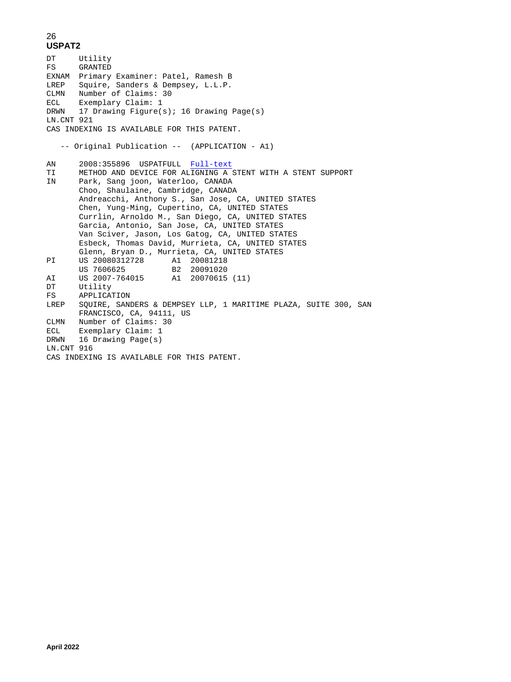DT Utility<br>FS GRANTED GRANTED EXNAM Primary Examiner: Patel, Ramesh B LREP Squire, Sanders & Dempsey, L.L.P. CLMN Number of Claims: 30 ECL Exemplary Claim: 1 DRWN 17 Drawing Figure(s); 16 Drawing Page(s) LN.CNT 921 CAS INDEXING IS AVAILABLE FOR THIS PATENT. -- Original Publication -- (APPLICATION - A1) AN 2008:355896 USPATFULL [Full-text](http://chemport.cas.org/cgi-bin/ex_sdcgi?w4cM4WOlB7Y6PkAqpLYRsgbS8D13wNQ74@7RluSXth_jYKv4W6uZ0E_QPsnvkqpC4yA5lAoWdKguOpVMXKr02g7G25ijJPsDMW6_Rg3FRw4DAW@W6puSkn_VBpm5@kHAh4yVrAQXxKVFr4_grRfAY86Y2SuaDdB67UwOQaFf2tYTgQkGiaPeyPFdJU6l35hPssmq)<br>TI METHOD AND DEVICE FOR ALIGNING A TI METHOD AND DEVICE FOR ALIGNING A STENT WITH A STENT SUPPORT<br>IN Park, Sang joon, Waterloo, CANADA Park, Sang joon, Waterloo, CANADA Choo, Shaulaine, Cambridge, CANADA Andreacchi, Anthony S., San Jose, CA, UNITED STATES Chen, Yung-Ming, Cupertino, CA, UNITED STATES Currlin, Arnoldo M., San Diego, CA, UNITED STATES Garcia, Antonio, San Jose, CA, UNITED STATES Van Sciver, Jason, Los Gatog, CA, UNITED STATES Esbeck, Thomas David, Murrieta, CA, UNITED STATES Glenn, Bryan D., Murrieta, CA, UNITED STATES<br>PI US 20080312728 Al 20081218 PI US 20080312728 A1 20081218 US 7606625 B2 20091020 AI US 2007-764015 A1 20070615 (11) DT Utility<br>FS APPLICATION FS APPLICATION LREP SQUIRE, SANDERS & DEMPSEY LLP, 1 MARITIME PLAZA, SUITE 300, SAN FRANCISCO, CA, 94111, US CLMN Number of Claims: 30<br>ECL Exemplary Claim: 1 Exemplary Claim: 1 DRWN 16 Drawing Page(s) LN.CNT 916 CAS INDEXING IS AVAILABLE FOR THIS PATENT.